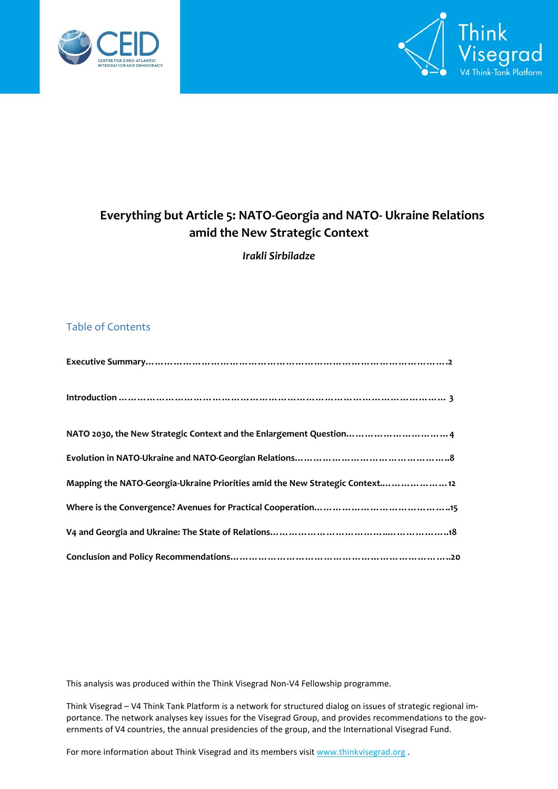



# **Everything but Article 5: NATO-Georgia and NATO- Ukraine Relations amid the New Strategic Context**

*Irakli Sirbiladze*

#### Table of Contents

| NATO 2030, the New Strategic Context and the Enlargement Question 4           |
|-------------------------------------------------------------------------------|
|                                                                               |
| Mapping the NATO-Georgia-Ukraine Priorities amid the New Strategic Context 12 |
|                                                                               |
|                                                                               |
|                                                                               |

This analysis was produced within the Think Visegrad Non-V4 Fellowship programme.

Think Visegrad – V4 Think Tank Platform is a network for structured dialog on issues of strategic regional importance. The network analyses key issues for the Visegrad Group, and provides recommendations to the governments of V4 countries, the annual presidencies of the group, and the International Visegrad Fund.

For more information about Think Visegrad and its members visit [www.thinkvisegrad.org](http://www.thinkvisegrad.org/)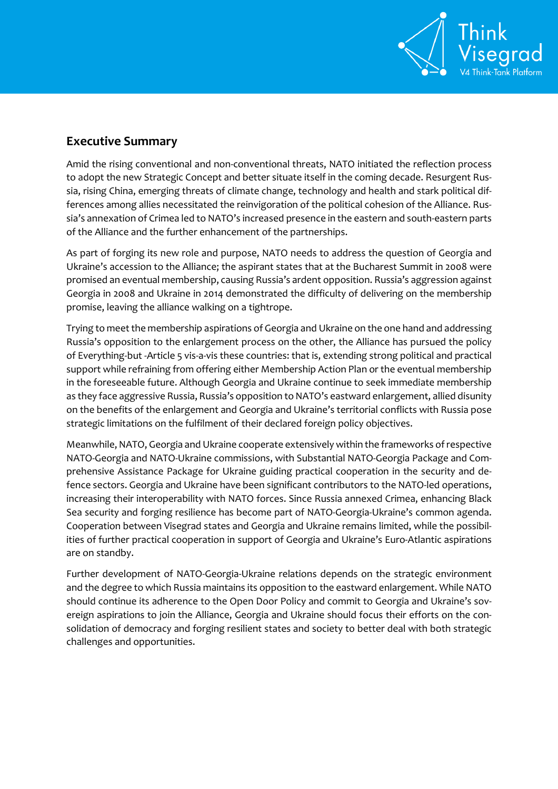

## **Executive Summary**

Amid the rising conventional and non-conventional threats, NATO initiated the reflection process to adopt the new Strategic Concept and better situate itself in the coming decade. Resurgent Russia, rising China, emerging threats of climate change, technology and health and stark political differences among allies necessitated the reinvigoration of the political cohesion of the Alliance. Russia's annexation of Crimea led to NATO's increased presence in the eastern and south-eastern parts of the Alliance and the further enhancement of the partnerships.

As part of forging its new role and purpose, NATO needs to address the question of Georgia and Ukraine's accession to the Alliance; the aspirant states that at the Bucharest Summit in 2008 were promised an eventual membership, causing Russia's ardent opposition. Russia's aggression against Georgia in 2008 and Ukraine in 2014 demonstrated the difficulty of delivering on the membership promise, leaving the alliance walking on a tightrope.

Trying to meet the membership aspirations of Georgia and Ukraine on the one hand and addressing Russia's opposition to the enlargement process on the other, the Alliance has pursued the policy of Everything-but -Article 5 vis-a-vis these countries: that is, extending strong political and practical support while refraining from offering either Membership Action Plan or the eventual membership in the foreseeable future. Although Georgia and Ukraine continue to seek immediate membership as they face aggressive Russia, Russia's opposition to NATO's eastward enlargement, allied disunity on the benefits of the enlargement and Georgia and Ukraine's territorial conflicts with Russia pose strategic limitations on the fulfilment of their declared foreign policy objectives.

Meanwhile, NATO, Georgia and Ukraine cooperate extensively within the frameworks of respective NATO-Georgia and NATO-Ukraine commissions, with Substantial NATO-Georgia Package and Comprehensive Assistance Package for Ukraine guiding practical cooperation in the security and defence sectors. Georgia and Ukraine have been significant contributors to the NATO-led operations, increasing their interoperability with NATO forces. Since Russia annexed Crimea, enhancing Black Sea security and forging resilience has become part of NATO-Georgia-Ukraine's common agenda. Cooperation between Visegrad states and Georgia and Ukraine remains limited, while the possibilities of further practical cooperation in support of Georgia and Ukraine's Euro-Atlantic aspirations are on standby.

Further development of NATO-Georgia-Ukraine relations depends on the strategic environment and the degree to which Russia maintains its opposition to the eastward enlargement. While NATO should continue its adherence to the Open Door Policy and commit to Georgia and Ukraine's sovereign aspirations to join the Alliance, Georgia and Ukraine should focus their efforts on the consolidation of democracy and forging resilient states and society to better deal with both strategic challenges and opportunities.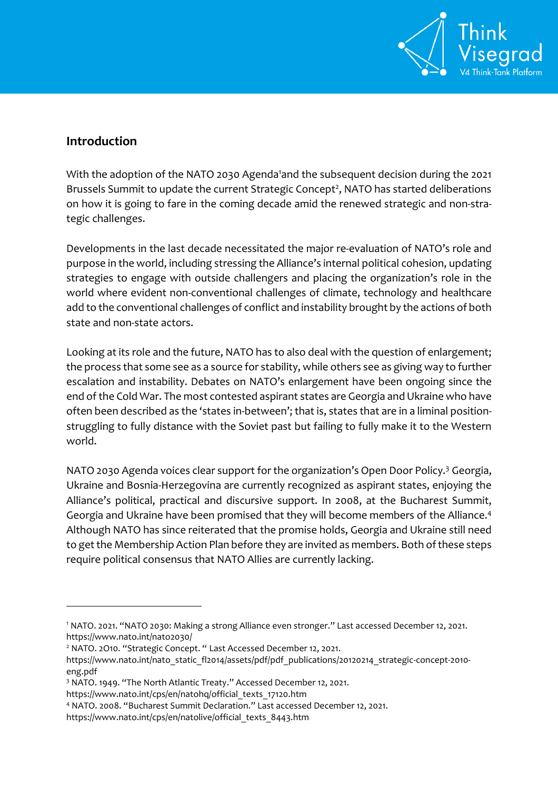

## **Introduction**

1

With the adoption of the NATO 2030 Agenda<sup>1</sup>and the subsequent decision during the 2021 Brussels Summit to update the current Strategic Concept<sup>2</sup>, NATO has started deliberations on how it is going to fare in the coming decade amid the renewed strategic and non-strategic challenges.

Developments in the last decade necessitated the major re-evaluation of NATO's role and purpose in the world, including stressing the Alliance's internal political cohesion, updating strategies to engage with outside challengers and placing the organization's role in the world where evident non-conventional challenges of climate, technology and healthcare add to the conventional challenges of conflict and instability brought by the actions of both state and non-state actors.

Looking at its role and the future, NATO has to also deal with the question of enlargement; the process that some see as a source for stability, while others see as giving way to further escalation and instability. Debates on NATO's enlargement have been ongoing since the end of the Cold War. The most contested aspirant states are Georgia and Ukraine who have often been described as the 'states in-between'; that is, states that are in a liminal positionstruggling to fully distance with the Soviet past but failing to fully make it to the Western world.

NATO 2030 Agenda voices clear support for the organization's Open Door Policy.<sup>3</sup> Georgia, Ukraine and Bosnia-Herzegovina are currently recognized as aspirant states, enjoying the Alliance's political, practical and discursive support. In 2008, at the Bucharest Summit, Georgia and Ukraine have been promised that they will become members of the Alliance.<sup>4</sup> Although NATO has since reiterated that the promise holds, Georgia and Ukraine still need to get the Membership Action Plan before they are invited as members. Both of these steps require political consensus that NATO Allies are currently lacking.

<sup>1</sup> NATO. 2021. "NATO 2030: Making a strong Alliance even stronger." Last accessed December 12, 2021. <https://www.nato.int/nato2030/>

<sup>&</sup>lt;sup>2</sup> NATO. 2O10. "Strategic Concept. " Last Accessed December 12, 2021.

[https://www.nato.int/nato\\_static\\_fl2014/assets/pdf/pdf\\_publications/20120214\\_strategic-concept-2010](https://www.nato.int/nato_static_fl2014/assets/pdf/pdf_publications/20120214_strategic-concept-2010-eng.pdf) [eng.pdf](https://www.nato.int/nato_static_fl2014/assets/pdf/pdf_publications/20120214_strategic-concept-2010-eng.pdf)

<sup>3</sup> NATO. 1949. "The North Atlantic Treaty." Accessed December 12, 2021.

[https://www.nato.int/cps/en/natohq/official\\_texts\\_17120.htm](https://www.nato.int/cps/en/natohq/official_texts_17120.htm)

<sup>4</sup> NATO. 2008. "Bucharest Summit Declaration." Last accessed December 12, 2021.

[https://www.nato.int/cps/en/natolive/official\\_texts\\_8443.htm](https://www.nato.int/cps/en/natolive/official_texts_8443.htm)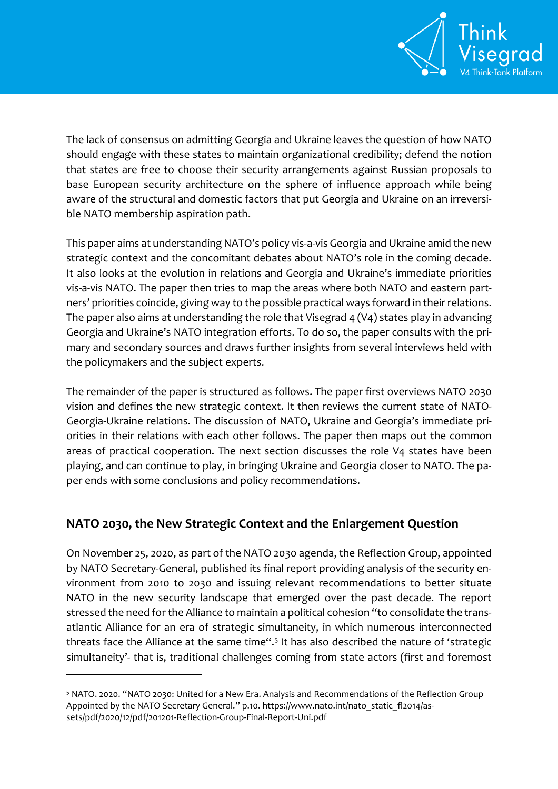

The lack of consensus on admitting Georgia and Ukraine leaves the question of how NATO should engage with these states to maintain organizational credibility; defend the notion that states are free to choose their security arrangements against Russian proposals to base European security architecture on the sphere of influence approach while being aware of the structural and domestic factors that put Georgia and Ukraine on an irreversible NATO membership aspiration path.

This paper aims at understanding NATO's policy vis-a-vis Georgia and Ukraine amid the new strategic context and the concomitant debates about NATO's role in the coming decade. It also looks at the evolution in relations and Georgia and Ukraine's immediate priorities vis-a-vis NATO. The paper then tries to map the areas where both NATO and eastern partners' priorities coincide, giving way to the possible practical ways forward in their relations. The paper also aims at understanding the role that Visegrad 4 (V4) states play in advancing Georgia and Ukraine's NATO integration efforts. To do so, the paper consults with the primary and secondary sources and draws further insights from several interviews held with the policymakers and the subject experts.

The remainder of the paper is structured as follows. The paper first overviews NATO 2030 vision and defines the new strategic context. It then reviews the current state of NATO-Georgia-Ukraine relations. The discussion of NATO, Ukraine and Georgia's immediate priorities in their relations with each other follows. The paper then maps out the common areas of practical cooperation. The next section discusses the role V4 states have been playing, and can continue to play, in bringing Ukraine and Georgia closer to NATO. The paper ends with some conclusions and policy recommendations.

## **NATO 2030, the New Strategic Context and the Enlargement Question**

On November 25, 2020, as part of the NATO 2030 agenda, the Reflection Group, appointed by NATO Secretary-General, published its final report providing analysis of the security environment from 2010 to 2030 and issuing relevant recommendations to better situate NATO in the new security landscape that emerged over the past decade. The report stressed the need for the Alliance to maintain a political cohesion "to consolidate the transatlantic Alliance for an era of strategic simultaneity, in which numerous interconnected threats face the Alliance at the same time".<sup>5</sup> It has also described the nature of 'strategic simultaneity'- that is, traditional challenges coming from state actors (first and foremost

 $\overline{a}$ 

<sup>5</sup> NATO. 2020. "NATO 2030: United for a New Era. Analysis and Recommendations of the Reflection Group Appointed by the NATO Secretary General." p.10. [https://www.nato.int/nato\\_static\\_fl2014/as](https://www.nato.int/nato_static_fl2014/assets/pdf/2020/12/pdf/201201-Reflection-Group-Final-Report-Uni.pdf)[sets/pdf/2020/12/pdf/201201-Reflection-Group-Final-Report-Uni.pdf](https://www.nato.int/nato_static_fl2014/assets/pdf/2020/12/pdf/201201-Reflection-Group-Final-Report-Uni.pdf)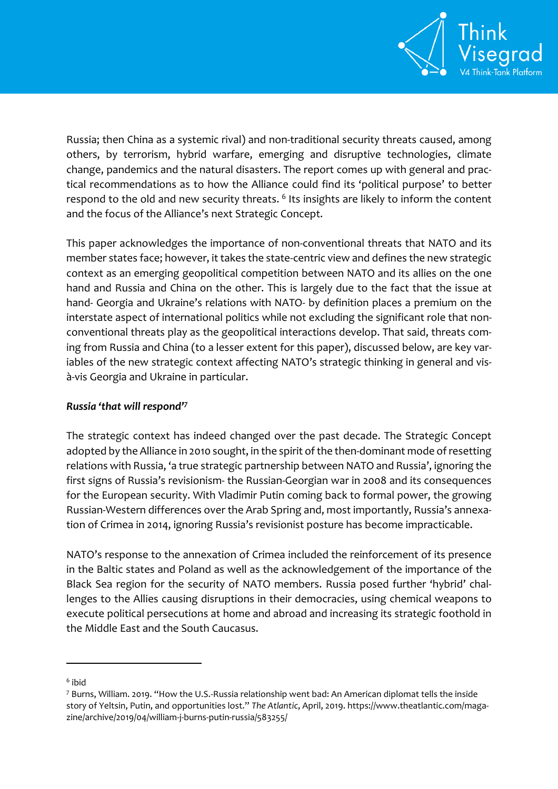

Russia; then China as a systemic rival) and non-traditional security threats caused, among others, by terrorism, hybrid warfare, emerging and disruptive technologies, climate change, pandemics and the natural disasters. The report comes up with general and practical recommendations as to how the Alliance could find its 'political purpose' to better respond to the old and new security threats.  $^6$  Its insights are likely to inform the content and the focus of the Alliance's next Strategic Concept.

This paper acknowledges the importance of non-conventional threats that NATO and its member states face; however, it takes the state-centric view and defines the new strategic context as an emerging geopolitical competition between NATO and its allies on the one hand and Russia and China on the other. This is largely due to the fact that the issue at hand- Georgia and Ukraine's relations with NATO- by definition places a premium on the interstate aspect of international politics while not excluding the significant role that nonconventional threats play as the geopolitical interactions develop. That said, threats coming from Russia and China (to a lesser extent for this paper), discussed below, are key variables of the new strategic context affecting NATO's strategic thinking in general and visà-vis Georgia and Ukraine in particular.

#### *Russia 'that will respond'<sup>7</sup>*

The strategic context has indeed changed over the past decade. The Strategic Concept adopted by the Alliance in 2010 sought, in the spirit of the then-dominant mode of resetting relations with Russia, 'a true strategic partnership between NATO and Russia', ignoring the first signs of Russia's revisionism- the Russian-Georgian war in 2008 and its consequences for the European security. With Vladimir Putin coming back to formal power, the growing Russian-Western differences over the Arab Spring and, most importantly, Russia's annexation of Crimea in 2014, ignoring Russia's revisionist posture has become impracticable.

NATO's response to the annexation of Crimea included the reinforcement of its presence in the Baltic states and Poland as well as the acknowledgement of the importance of the Black Sea region for the security of NATO members. Russia posed further 'hybrid' challenges to the Allies causing disruptions in their democracies, using chemical weapons to execute political persecutions at home and abroad and increasing its strategic foothold in the Middle East and the South Caucasus.

 $\overline{a}$ 

<sup>6</sup> ibid

<sup>7</sup> Burns, William. 2019. "How the U.S.-Russia relationship went bad: An American diplomat tells the inside story of Yeltsin, Putin, and opportunities lost." *The Atlantic*, April, 2019[. https://www.theatlantic.com/maga](https://www.theatlantic.com/magazine/archive/2019/04/william-j-burns-putin-russia/583255/)[zine/archive/2019/04/william-j-burns-putin-russia/583255/](https://www.theatlantic.com/magazine/archive/2019/04/william-j-burns-putin-russia/583255/)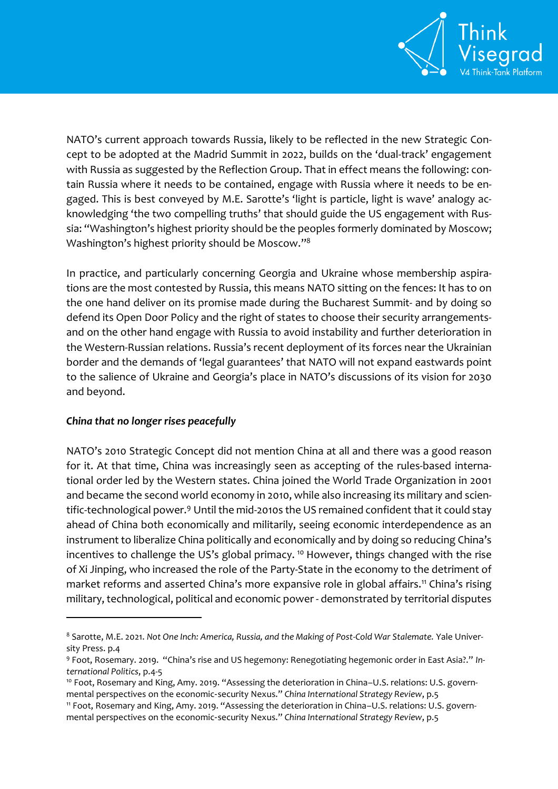

NATO's current approach towards Russia, likely to be reflected in the new Strategic Concept to be adopted at the Madrid Summit in 2022, builds on the 'dual-track' engagement with Russia as suggested by the Reflection Group. That in effect means the following: contain Russia where it needs to be contained, engage with Russia where it needs to be engaged. This is best conveyed by M.E. Sarotte's 'light is particle, light is wave' analogy acknowledging 'the two compelling truths' that should guide the US engagement with Russia: "Washington's highest priority should be the peoples formerly dominated by Moscow; Washington's highest priority should be Moscow."<sup>8</sup>

In practice, and particularly concerning Georgia and Ukraine whose membership aspirations are the most contested by Russia, this means NATO sitting on the fences: It has to on the one hand deliver on its promise made during the Bucharest Summit- and by doing so defend its Open Door Policy and the right of states to choose their security arrangementsand on the other hand engage with Russia to avoid instability and further deterioration in the Western-Russian relations. Russia's recent deployment of its forces near the Ukrainian border and the demands of 'legal guarantees' that NATO will not expand eastwards point to the salience of Ukraine and Georgia's place in NATO's discussions of its vision for 2030 and beyond.

#### *China that no longer rises peacefully*

 $\overline{a}$ 

NATO's 2010 Strategic Concept did not mention China at all and there was a good reason for it. At that time, China was increasingly seen as accepting of the rules-based international order led by the Western states. China joined the World Trade Organization in 2001 and became the second world economy in 2010, while also increasing its military and scientific-technological power.<sup>9</sup> Until the mid-2010s the US remained confident that it could stay ahead of China both economically and militarily, seeing economic interdependence as an instrument to liberalize China politically and economically and by doing so reducing China's incentives to challenge the US's global primacy.<sup>10</sup> However, things changed with the rise of Xi Jinping, who increased the role of the Party-State in the economy to the detriment of market reforms and asserted China's more expansive role in global affairs.<sup>11</sup> China's rising military, technological, political and economic power- demonstrated by territorial disputes

<sup>8</sup> Sarotte, M.E. 2021. *Not One Inch: America, Russia, and the Making of Post-Cold War Stalemate.* Yale University Press. p.4

<sup>9</sup> Foot, Rosemary. 2019. "China's rise and US hegemony: Renegotiating hegemonic order in East Asia?." *International Politics*, p.4-5

<sup>&</sup>lt;sup>10</sup> Foot, Rosemary and King, Amy. 2019. "Assessing the deterioration in China-U.S. relations: U.S. governmental perspectives on the economic‑security Nexus." *China International Strategy Review*, p.5

<sup>11</sup> Foot, Rosemary and King, Amy. 2019. "Assessing the deterioration in China–U.S. relations: U.S. governmental perspectives on the economic‑security Nexus." *China International Strategy Review*, p.5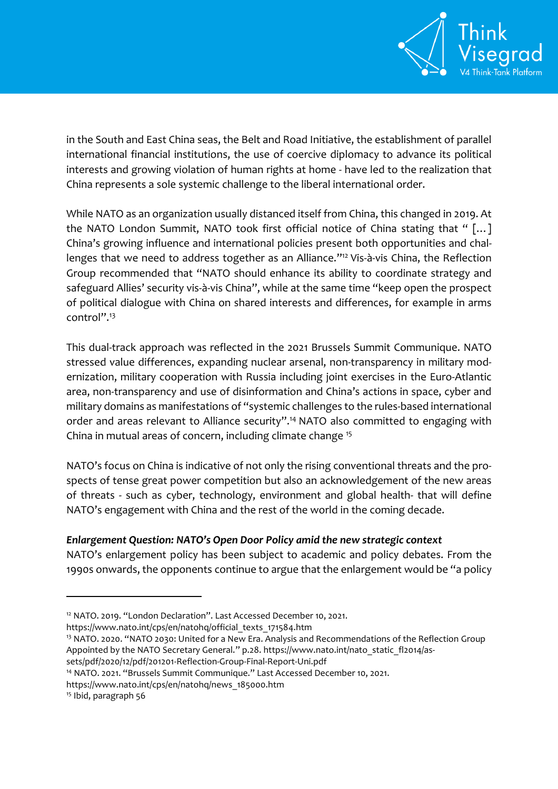

in the South and East China seas, the Belt and Road Initiative, the establishment of parallel international financial institutions, the use of coercive diplomacy to advance its political interests and growing violation of human rights at home - have led to the realization that China represents a sole systemic challenge to the liberal international order.

While NATO as an organization usually distanced itself from China, this changed in 2019. At the NATO London Summit, NATO took first official notice of China stating that " […] China's growing influence and international policies present both opportunities and challenges that we need to address together as an Alliance." <sup>12</sup> Vis-à-vis China, the Reflection Group recommended that "NATO should enhance its ability to coordinate strategy and safeguard Allies' security vis-à-vis China", while at the same time "keep open the prospect of political dialogue with China on shared interests and differences, for example in arms control".<sup>13</sup>

This dual-track approach was reflected in the 2021 Brussels Summit Communique. NATO stressed value differences, expanding nuclear arsenal, non-transparency in military modernization, military cooperation with Russia including joint exercises in the Euro-Atlantic area, non-transparency and use of disinformation and China's actions in space, cyber and military domains as manifestations of "systemic challenges to the rules-based international order and areas relevant to Alliance security".<sup>14</sup> NATO also committed to engaging with China in mutual areas of concern, including climate change <sup>15</sup>

NATO's focus on China is indicative of not only the rising conventional threats and the prospects of tense great power competition but also an acknowledgement of the new areas of threats - such as cyber, technology, environment and global health- that will define NATO's engagement with China and the rest of the world in the coming decade.

## *Enlargement Question: NATO's Open Door Policy amid the new strategic context*

NATO's enlargement policy has been subject to academic and policy debates. From the 1990s onwards, the opponents continue to argue that the enlargement would be "a policy

- <sup>13</sup> NATO. 2020. "NATO 2030: United for a New Era. Analysis and Recommendations of the Reflection Group Appointed by the NATO Secretary General." p.28. [https://www.nato.int/nato\\_static\\_fl2014/as-](https://www.nato.int/nato_static_fl2014/assets/pdf/2020/12/pdf/201201-Reflection-Group-Final-Report-Uni.pdf)
- [sets/pdf/2020/12/pdf/201201-Reflection-Group-Final-Report-Uni.pdf](https://www.nato.int/nato_static_fl2014/assets/pdf/2020/12/pdf/201201-Reflection-Group-Final-Report-Uni.pdf)
- <sup>14</sup> NATO. 2021. "Brussels Summit Communique." Last Accessed December 10, 2021.

 $\overline{a}$ 

<sup>&</sup>lt;sup>12</sup> NATO. 2019. "London Declaration". Last Accessed December 10, 2021.

[https://www.nato.int/cps/en/natohq/official\\_texts\\_171584.htm](https://www.nato.int/cps/en/natohq/official_texts_171584.htm)

[https://www.nato.int/cps/en/natohq/news\\_185000.htm](https://www.nato.int/cps/en/natohq/news_185000.htm)

<sup>15</sup> Ibid, paragraph 56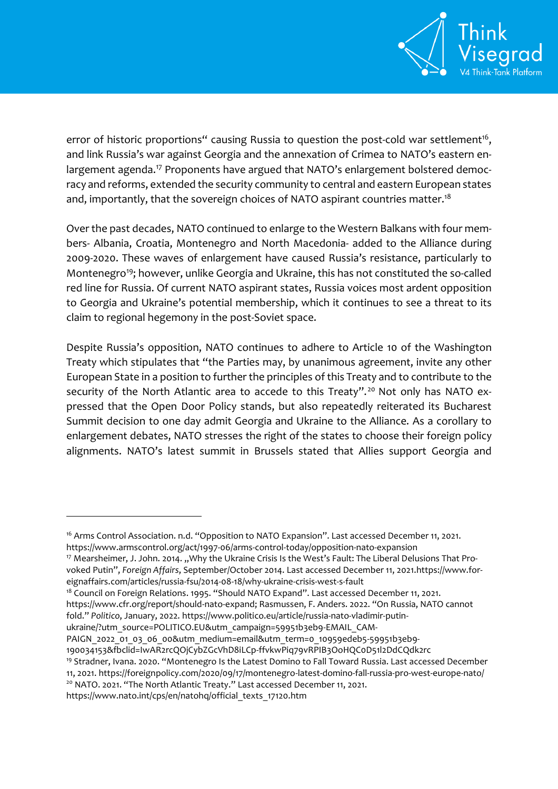

error of historic proportions" causing Russia to question the post-cold war settlement<sup>16</sup>, and link Russia's war against Georgia and the annexation of Crimea to NATO's eastern enlargement agenda.<sup>17</sup> Proponents have argued that NATO's enlargement bolstered democracy and reforms, extended the security community to central and eastern European states and, importantly, that the sovereign choices of NATO aspirant countries matter.<sup>18</sup>

Over the past decades, NATO continued to enlarge to the Western Balkans with four members- Albania, Croatia, Montenegro and North Macedonia- added to the Alliance during 2009-2020. These waves of enlargement have caused Russia's resistance, particularly to Montenegro<sup>19</sup>; however, unlike Georgia and Ukraine, this has not constituted the so-called red line for Russia. Of current NATO aspirant states, Russia voices most ardent opposition to Georgia and Ukraine's potential membership, which it continues to see a threat to its claim to regional hegemony in the post-Soviet space.

Despite Russia's opposition, NATO continues to adhere to Article 10 of the Washington Treaty which stipulates that "the Parties may, by unanimous agreement, invite any other European State in a position to further the principles of this Treaty and to contribute to the security of the North Atlantic area to accede to this Treaty".<sup>20</sup> Not only has NATO expressed that the Open Door Policy stands, but also repeatedly reiterated its Bucharest Summit decision to one day admit Georgia and Ukraine to the Alliance. As a corollary to enlargement debates, NATO stresses the right of the states to choose their foreign policy alignments. NATO's latest summit in Brussels stated that Allies support Georgia and

<sup>17</sup> Mearsheimer, J. John. 2014. "Why the Ukraine Crisis Is the West's Fault: The Liberal Delusions That Provoked Putin", *Foreign Affairs*, September/October 2014. Last accessed December 11, 2021[.https://www.for](https://www.foreignaffairs.com/articles/russia-fsu/2014-08-18/why-ukraine-crisis-west-s-fault)[eignaffairs.com/articles/russia-fsu/2014-08-18/why-ukraine-crisis-west-s-fault](https://www.foreignaffairs.com/articles/russia-fsu/2014-08-18/why-ukraine-crisis-west-s-fault)

<sup>18</sup> Council on Foreign Relations. 1995. "Should NATO Expand". Last accessed December 11, 2021. <https://www.cfr.org/report/should-nato-expand>; Rasmussen, F. Anders. 2022. "On Russia, NATO cannot fold." *Politico*, January, 2022. [https://www.politico.eu/article/russia-nato-vladimir-putin-](https://www.politico.eu/article/russia-nato-vladimir-putin-ukraine/?utm_source=POLITICO.EU&utm_campaign=59951b3eb9-EMAIL_CAMPAIGN_2022_01_03_06_00&utm_medium=email&utm_term=0_10959edeb5-59951b3eb9-190034153&fbclid=IwAR2rcQOjCybZGcVhD8iLCp-ffvkwPiq79vRPIB3OoHQC0D51l2DdCQdk2rc)

[ukraine/?utm\\_source=POLITICO.EU&utm\\_campaign=59951b3eb9-EMAIL\\_CAM-](https://www.politico.eu/article/russia-nato-vladimir-putin-ukraine/?utm_source=POLITICO.EU&utm_campaign=59951b3eb9-EMAIL_CAMPAIGN_2022_01_03_06_00&utm_medium=email&utm_term=0_10959edeb5-59951b3eb9-190034153&fbclid=IwAR2rcQOjCybZGcVhD8iLCp-ffvkwPiq79vRPIB3OoHQC0D51l2DdCQdk2rc)

[PAIGN\\_2022\\_01\\_03\\_06\\_00&utm\\_medium=email&utm\\_term=0\\_10959edeb5-59951b3eb9-](https://www.politico.eu/article/russia-nato-vladimir-putin-ukraine/?utm_source=POLITICO.EU&utm_campaign=59951b3eb9-EMAIL_CAMPAIGN_2022_01_03_06_00&utm_medium=email&utm_term=0_10959edeb5-59951b3eb9-190034153&fbclid=IwAR2rcQOjCybZGcVhD8iLCp-ffvkwPiq79vRPIB3OoHQC0D51l2DdCQdk2rc)

[190034153&fbclid=IwAR2rcQOjCybZGcVhD8iLCp-ffvkwPiq79vRPIB3OoHQC0D51l2DdCQdk2rc](https://www.politico.eu/article/russia-nato-vladimir-putin-ukraine/?utm_source=POLITICO.EU&utm_campaign=59951b3eb9-EMAIL_CAMPAIGN_2022_01_03_06_00&utm_medium=email&utm_term=0_10959edeb5-59951b3eb9-190034153&fbclid=IwAR2rcQOjCybZGcVhD8iLCp-ffvkwPiq79vRPIB3OoHQC0D51l2DdCQdk2rc)

[https://www.nato.int/cps/en/natohq/official\\_texts\\_17120.htm](https://www.nato.int/cps/en/natohq/official_texts_17120.htm)

<sup>&</sup>lt;sup>16</sup> Arms Control Association. n.d. "Opposition to NATO Expansion". Last accessed December 11, 2021. <https://www.armscontrol.org/act/1997-06/arms-control-today/opposition-nato-expansion>

<sup>19</sup> Stradner, Ivana. 2020. "Montenegro Is the Latest Domino to Fall Toward Russia. Last accessed December 11, 2021[. https://foreignpolicy.com/2020/09/17/montenegro-latest-domino-fall-russia-pro-west-europe-nato/](https://foreignpolicy.com/2020/09/17/montenegro-latest-domino-fall-russia-pro-west-europe-nato/) <sup>20</sup> NATO. 2021. "The North Atlantic Treaty." Last accessed December 11, 2021.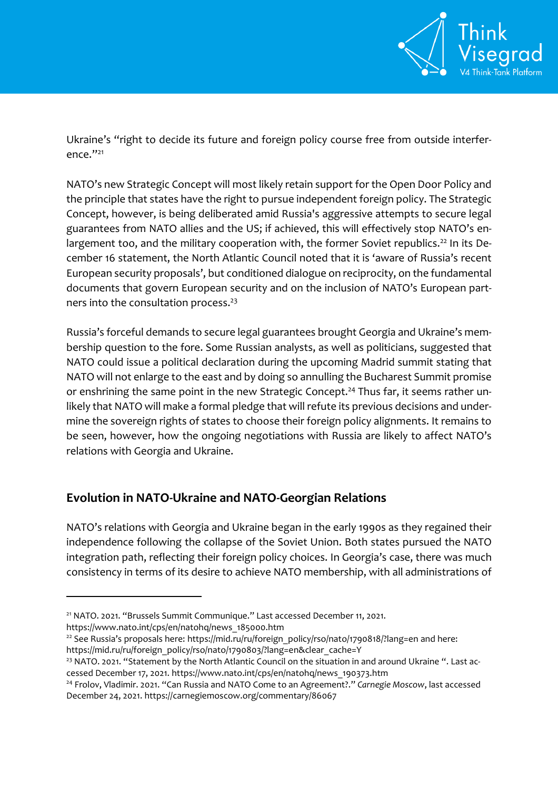

Ukraine's "right to decide its future and foreign policy course free from outside interference." 21

NATO's new Strategic Concept will most likely retain support for the Open Door Policy and the principle that states have the right to pursue independent foreign policy. The Strategic Concept, however, is being deliberated amid Russia's aggressive attempts to secure legal guarantees from NATO allies and the US; if achieved, this will effectively stop NATO's enlargement too, and the military cooperation with, the former Soviet republics.<sup>22</sup> In its December 16 statement, the North Atlantic Council noted that it is 'aware of Russia's recent European security proposals', but conditioned dialogue on reciprocity, on the fundamental documents that govern European security and on the inclusion of NATO's European partners into the consultation process.<sup>23</sup>

Russia's forceful demands to secure legal guarantees brought Georgia and Ukraine's membership question to the fore. Some Russian analysts, as well as politicians, suggested that NATO could issue a political declaration during the upcoming Madrid summit stating that NATO will not enlarge to the east and by doing so annulling the Bucharest Summit promise or enshrining the same point in the new Strategic Concept.<sup>24</sup> Thus far, it seems rather unlikely that NATO will make a formal pledge that will refute its previous decisions and undermine the sovereign rights of states to choose their foreign policy alignments. It remains to be seen, however, how the ongoing negotiations with Russia are likely to affect NATO's relations with Georgia and Ukraine.

# **Evolution in NATO-Ukraine and NATO-Georgian Relations**

NATO's relations with Georgia and Ukraine began in the early 1990s as they regained their independence following the collapse of the Soviet Union. Both states pursued the NATO integration path, reflecting their foreign policy choices. In Georgia's case, there was much consistency in terms of its desire to achieve NATO membership, with all administrations of

<sup>21</sup> NATO. 2021. "Brussels Summit Communique." Last accessed December 11, 2021.

[https://www.nato.int/cps/en/natohq/news\\_185000.htm](https://www.nato.int/cps/en/natohq/news_185000.htm)

 $\overline{a}$ 

<sup>22</sup> See Russia's proposals here: [https://mid.ru/ru/foreign\\_policy/rso/nato/1790818/?lang=en](https://mid.ru/ru/foreign_policy/rso/nato/1790818/?lang=en) and here: [https://mid.ru/ru/foreign\\_policy/rso/nato/1790803/?lang=en&clear\\_cache=Y](https://mid.ru/ru/foreign_policy/rso/nato/1790803/?lang=en&clear_cache=Y)

<sup>&</sup>lt;sup>23</sup> NATO. 2021. "Statement by the North Atlantic Council on the situation in and around Ukraine ". Last accessed December 17, 2021. [https://www.nato.int/cps/en/natohq/news\\_190373.htm](https://www.nato.int/cps/en/natohq/news_190373.htm)

<sup>24</sup> Frolov, Vladimir. 2021. "Can Russia and NATO Come to an Agreement?." *Carnegie Moscow*, last accessed December 24, 2021.<https://carnegiemoscow.org/commentary/86067>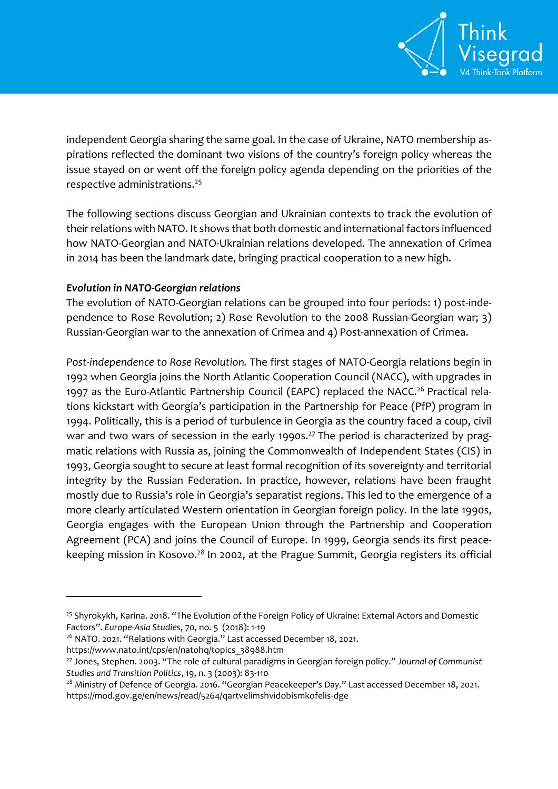

independent Georgia sharing the same goal. In the case of Ukraine, NATO membership aspirations reflected the dominant two visions of the country's foreign policy whereas the issue stayed on or went off the foreign policy agenda depending on the priorities of the respective administrations.<sup>25</sup>

The following sections discuss Georgian and Ukrainian contexts to track the evolution of theirrelations with NATO. It shows that both domestic and international factors influenced how NATO-Georgian and NATO-Ukrainian relations developed. The annexation of Crimea in 2014 has been the landmark date, bringing practical cooperation to a new high.

## *Evolution in NATO-Georgian relations*

The evolution of NATO-Georgian relations can be grouped into four periods: 1) post-independence to Rose Revolution; 2) Rose Revolution to the 2008 Russian-Georgian war; 3) Russian-Georgian war to the annexation of Crimea and 4) Post-annexation of Crimea.

*Post-independence to Rose Revolution.* The first stages of NATO-Georgia relations begin in 1992 when Georgia joins the North Atlantic Cooperation Council (NACC), with upgrades in 1997 as the Euro-Atlantic Partnership Council (EAPC) replaced the NACC.<sup>26</sup> Practical relations kickstart with Georgia's participation in the Partnership for Peace (PfP) program in 1994. Politically, this is a period of turbulence in Georgia as the country faced a coup, civil war and two wars of secession in the early 1990s.<sup>27</sup> The period is characterized by pragmatic relations with Russia as, joining the Commonwealth of Independent States (CIS) in 1993, Georgia sought to secure at least formal recognition of its sovereignty and territorial integrity by the Russian Federation. In practice, however, relations have been fraught mostly due to Russia's role in Georgia's separatist regions. This led to the emergence of a more clearly articulated Western orientation in Georgian foreign policy. In the late 1990s, Georgia engages with the European Union through the Partnership and Cooperation Agreement (PCA) and joins the Council of Europe. In 1999, Georgia sends its first peacekeeping mission in Kosovo.<sup>28</sup> In 2002, at the Prague Summit, Georgia registers its official

 $\overline{a}$ 

<sup>&</sup>lt;sup>25</sup> Shyrokykh, Karina. 2018. "The Evolution of the Foreign Policy of Ukraine: External Actors and Domestic Factors". *Europe-Asia Studies*, 70, no. 5 (2018): 1-19

<sup>&</sup>lt;sup>26</sup> NATO. 2021. "Relations with Georgia." Last accessed December 18, 2021.

[https://www.nato.int/cps/en/natohq/topics\\_38988.htm](https://www.nato.int/cps/en/natohq/topics_38988.htm)

<sup>27</sup> Jones, Stephen. 2003. "The role of cultural paradigms in Georgian foreign policy." *Journal of Communist Studies and Transition Politics*, 19, n. 3 (2003): 83-110

<sup>&</sup>lt;sup>28</sup> Ministry of Defence of Georgia. 2016. "Georgian Peacekeeper's Day." Last accessed December 18, 2021. <https://mod.gov.ge/en/news/read/5264/qartvelimshvidobismkofelis-dge>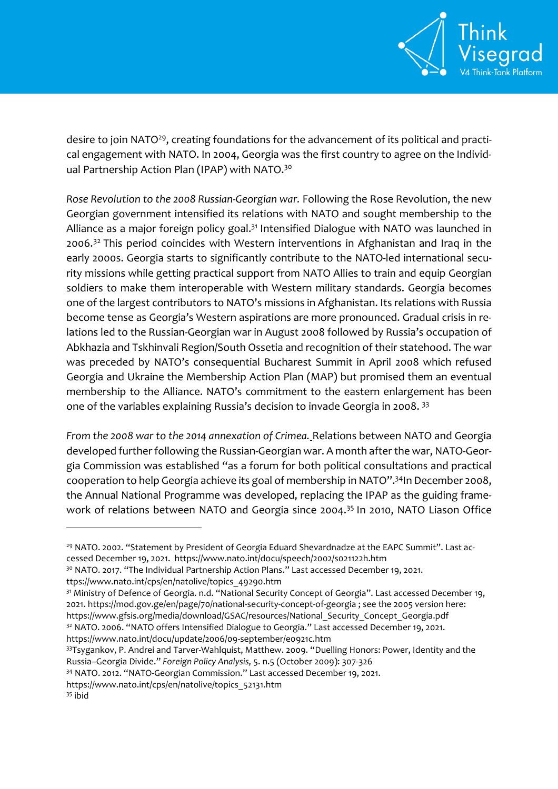

desire to join NATO<sup>29</sup>, creating foundations for the advancement of its political and practical engagement with NATO. In 2004, Georgia was the first country to agree on the Individual Partnership Action Plan (IPAP) with NATO.<sup>30</sup>

*Rose Revolution to the 2008 Russian-Georgian war.* Following the Rose Revolution, the new Georgian government intensified its relations with NATO and sought membership to the Alliance as a major foreign policy goal.<sup>31</sup> Intensified Dialogue with NATO was launched in 2006.<sup>32</sup> This period coincides with Western interventions in Afghanistan and Iraq in the early 2000s. Georgia starts to significantly contribute to the NATO-led international security missions while getting practical support from NATO Allies to train and equip Georgian soldiers to make them interoperable with Western military standards. Georgia becomes one of the largest contributors to NATO's missions in Afghanistan. Its relations with Russia become tense as Georgia's Western aspirations are more pronounced. Gradual crisis in relations led to the Russian-Georgian war in August 2008 followed by Russia's occupation of Abkhazia and Tskhinvali Region/South Ossetia and recognition of their statehood. The war was preceded by NATO's consequential Bucharest Summit in April 2008 which refused Georgia and Ukraine the Membership Action Plan (MAP) but promised them an eventual membership to the Alliance. NATO's commitment to the eastern enlargement has been one of the variables explaining Russia's decision to invade Georgia in 2008. <sup>33</sup>

*From the 2008 war to the 2014 annexation of Crimea.* Relations between NATO and Georgia developed further following the Russian-Georgian war. A month after the war, NATO-Georgia Commission was established "as a forum for both political consultations and practical cooperation to help Georgia achieve its goal of membership in NATO".<sup>34</sup>In December 2008, the Annual National Programme was developed, replacing the IPAP as the guiding framework of relations between NATO and Georgia since 2004.<sup>35</sup> In 2010, NATO Liason Office

<https://www.nato.int/docu/update/2006/09-september/e0921c.htm>

<sup>&</sup>lt;sup>29</sup> NATO. 2002. "Statement by President of Georgia Eduard Shevardnadze at the EAPC Summit". Last accessed December 19, 2021. https://www.nato.int/docu/speech/2002/s021122h.htm

<sup>&</sup>lt;sup>30</sup> NATO. 2017. "The Individual Partnership Action Plans." Last accessed December 19, 2021. ttps://www.nato.int/cps/en/natolive/topics\_49290.htm

<sup>&</sup>lt;sup>31</sup> Ministry of Defence of Georgia. n.d. "National Security Concept of Georgia". Last accessed December 19, 2021. https://mod.gov.ge/en/page/70/national-security-concept-of-georgia ; see the 2005 version here: [https://www.gfsis.org/media/download/GSAC/resources/National\\_Security\\_Concept\\_Georgia.pdf](https://www.gfsis.org/media/download/GSAC/resources/National_Security_Concept_Georgia.pdf) <sup>32</sup> NATO. 2006. "NATO offers Intensified Dialogue to Georgia." Last accessed December 19, 2021.

<sup>33</sup>Tsygankov, P. Andrei and Tarver-Wahlquist, Matthew. 2009. "Duelling Honors: Power, Identity and the Russia–Georgia Divide." *Foreign Policy Analysis,* 5. n.5 (October 2009): 307-326

<sup>34</sup> NATO. 2012. "NATO-Georgian Commission." Last accessed December 19, 2021.

[https://www.nato.int/cps/en/natolive/topics\\_52131.htm](https://www.nato.int/cps/en/natolive/topics_52131.htm)

<sup>35</sup> ibid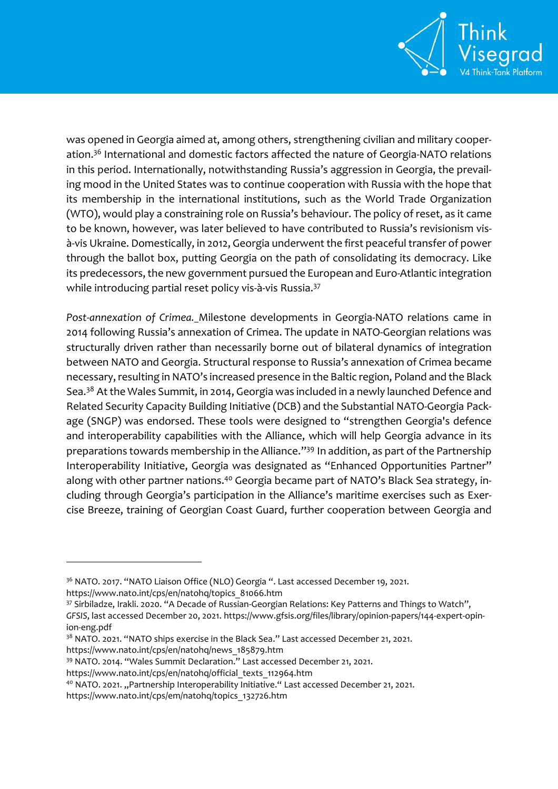

was opened in Georgia aimed at, among others, strengthening civilian and military cooperation.<sup>36</sup> International and domestic factors affected the nature of Georgia-NATO relations in this period. Internationally, notwithstanding Russia's aggression in Georgia, the prevailing mood in the United States was to continue cooperation with Russia with the hope that its membership in the international institutions, such as the World Trade Organization (WTO), would play a constraining role on Russia's behaviour. The policy of reset, as it came to be known, however, was later believed to have contributed to Russia's revisionism visà-vis Ukraine. Domestically, in 2012, Georgia underwent the first peaceful transfer of power through the ballot box, putting Georgia on the path of consolidating its democracy. Like its predecessors, the new government pursued the European and Euro-Atlantic integration while introducing partial reset policy vis-à-vis Russia.<sup>37</sup>

*Post-annexation of Crimea.* Milestone developments in Georgia-NATO relations came in 2014 following Russia's annexation of Crimea. The update in NATO-Georgian relations was structurally driven rather than necessarily borne out of bilateral dynamics of integration between NATO and Georgia. Structural response to Russia's annexation of Crimea became necessary, resulting in NATO's increased presence in the Baltic region, Poland and the Black Sea.<sup>38</sup> At the Wales Summit, in 2014, Georgia was included in a newly launched Defence and Related Security Capacity Building Initiative (DCB) and the Substantial NATO-Georgia Package (SNGP) was endorsed. These tools were designed to "strengthen Georgia's defence and interoperability capabilities with the Alliance, which will help Georgia advance in its preparations towards membership in the Alliance."<sup>39</sup> In addition, as part of the Partnership Interoperability Initiative, Georgia was designated as "Enhanced Opportunities Partner" along with other partner nations.<sup>40</sup> Georgia became part of NATO's Black Sea strategy, including through Georgia's participation in the Alliance's maritime exercises such as Exercise Breeze, training of Georgian Coast Guard, further cooperation between Georgia and

<sup>&</sup>lt;sup>36</sup> NATO. 2017. "NATO Liaison Office (NLO) Georgia ". Last accessed December 19, 2021.

[https://www.nato.int/cps/en/natohq/topics\\_81066.htm](https://www.nato.int/cps/en/natohq/topics_81066.htm)

<sup>37</sup> Sirbiladze, Irakli. 2020. "A Decade of Russian-Georgian Relations: Key Patterns and Things to Watch", *GFSIS*, last accessed December 20, 2021. [https://www.gfsis.org/files/library/opinion-papers/144-expert-opin](https://www.gfsis.org/files/library/opinion-papers/144-expert-opinion-eng.pdf)[ion-eng.pdf](https://www.gfsis.org/files/library/opinion-papers/144-expert-opinion-eng.pdf)

<sup>&</sup>lt;sup>38</sup> NATO. 2021. "NATO ships exercise in the Black Sea." Last accessed December 21, 2021.

[https://www.nato.int/cps/en/natohq/news\\_185879.htm](https://www.nato.int/cps/en/natohq/news_185879.htm)

<sup>39</sup> NATO. 2014. "Wales Summit Declaration." Last accessed December 21, 2021.

https://www.nato.int/cps/en/natohq/official\_texts\_112964.htm

<sup>&</sup>lt;sup>40</sup> NATO. 2021. "Partnership Interoperability Initiative." Last accessed December 21, 2021.

https://www.nato.int/cps/em/natohq/topics\_132726.htm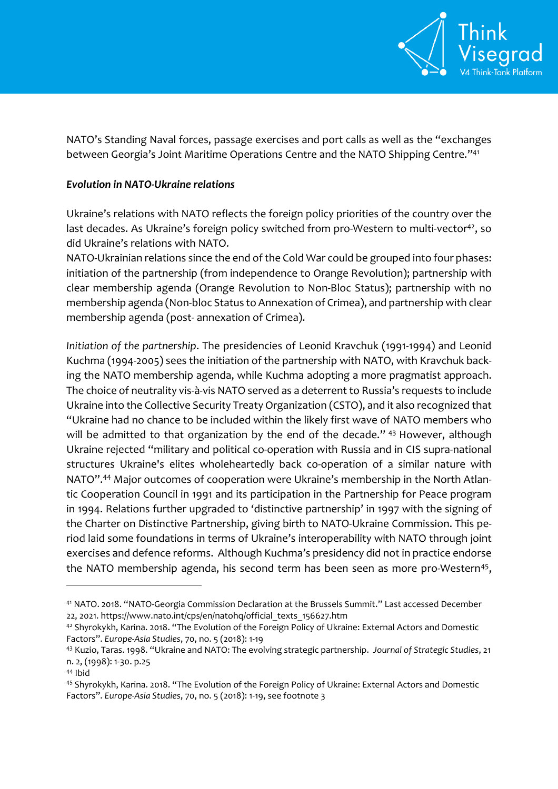

NATO's Standing Naval forces, passage exercises and port calls as well as the "exchanges between Georgia's Joint Maritime Operations Centre and the NATO Shipping Centre." 41

#### *Evolution in NATO-Ukraine relations*

Ukraine's relations with NATO reflects the foreign policy priorities of the country over the last decades. As Ukraine's foreign policy switched from pro-Western to multi-vector<sup>42</sup>, so did Ukraine's relations with NATO.

NATO-Ukrainian relations since the end of the Cold War could be grouped into four phases: initiation of the partnership (from independence to Orange Revolution); partnership with clear membership agenda (Orange Revolution to Non-Bloc Status); partnership with no membership agenda (Non-bloc Status to Annexation of Crimea), and partnership with clear membership agenda (post- annexation of Crimea).

*Initiation of the partnership*. The presidencies of Leonid Kravchuk (1991-1994) and Leonid Kuchma (1994-2005) sees the initiation of the partnership with NATO, with Kravchuk backing the NATO membership agenda, while Kuchma adopting a more pragmatist approach. The choice of neutrality vis-à-vis NATO served as a deterrent to Russia's requests to include Ukraine into the Collective Security Treaty Organization (CSTO), and it also recognized that "Ukraine had no chance to be included within the likely first wave of NATO members who will be admitted to that organization by the end of the decade." <sup>43</sup> However, although Ukraine rejected "military and political co-operation with Russia and in CIS supra-national structures Ukraine's elites wholeheartedly back co-operation of a similar nature with NATO".<sup>44</sup> Major outcomes of cooperation were Ukraine's membership in the North Atlantic Cooperation Council in 1991 and its participation in the Partnership for Peace program in 1994. Relations further upgraded to 'distinctive partnership' in 1997 with the signing of the Charter on Distinctive Partnership, giving birth to NATO-Ukraine Commission. This period laid some foundations in terms of Ukraine's interoperability with NATO through joint exercises and defence reforms. Although Kuchma's presidency did not in practice endorse the NATO membership agenda, his second term has been seen as more pro-Western<sup>45</sup>,

<sup>41</sup> NATO. 2018. "NATO-Georgia Commission Declaration at the Brussels Summit." Last accessed December 22, 2021. https://www.nato.int/cps/en/natohq/official\_texts\_156627.htm

<sup>42</sup> Shyrokykh, Karina. 2018. "The Evolution of the Foreign Policy of Ukraine: External Actors and Domestic Factors". *Europe-Asia Studies*, 70, no. 5 (2018): 1-19

<sup>43</sup> Kuzio, Taras. 1998. "Ukraine and NATO: The evolving strategic partnership. *Journal of Strategic Studies*, 21 n. 2, (1998): 1-30. p.25

<sup>44</sup> Ibid

<sup>45</sup> Shyrokykh, Karina. 2018. "The Evolution of the Foreign Policy of Ukraine: External Actors and Domestic Factors". *Europe-Asia Studies*, 70, no. 5 (2018): 1-19, see footnote 3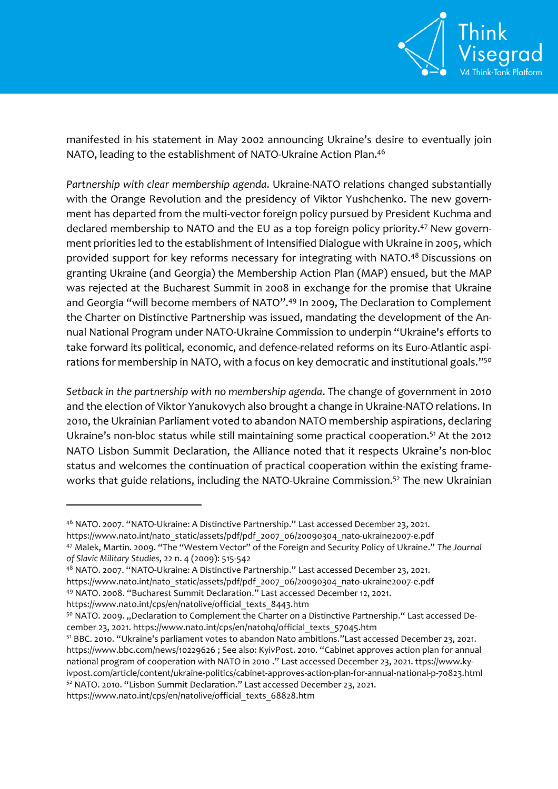

manifested in his statement in May 2002 announcing Ukraine's desire to eventually join NATO, leading to the establishment of NATO-Ukraine Action Plan.<sup>46</sup>

*Partnership with clear membership agenda*. Ukraine-NATO relations changed substantially with the Orange Revolution and the presidency of Viktor Yushchenko. The new government has departed from the multi-vector foreign policy pursued by President Kuchma and declared membership to NATO and the EU as a top foreign policy priority.<sup>47</sup> New government priorities led to the establishment of Intensified Dialogue with Ukraine in 2005, which provided support for key reforms necessary for integrating with NATO.<sup>48</sup> Discussions on granting Ukraine (and Georgia) the Membership Action Plan (MAP) ensued, but the MAP was rejected at the Bucharest Summit in 2008 in exchange for the promise that Ukraine and Georgia "will become members of NATO".<sup>49</sup> In 2009, The Declaration to Complement the Charter on Distinctive Partnership was issued, mandating the development of the Annual National Program under NATO-Ukraine Commission to underpin "Ukraine's efforts to take forward its political, economic, and defence-related reforms on its Euro-Atlantic aspirations for membership in NATO, with a focus on key democratic and institutional goals." $^{\rm 750}$ 

*Setback in the partnership with no membership agenda*. The change of government in 2010 and the election of Viktor Yanukovych also brought a change in Ukraine-NATO relations. In 2010, the Ukrainian Parliament voted to abandon NATO membership aspirations, declaring Ukraine's non-bloc status while still maintaining some practical cooperation.<sup>51</sup> At the 2012 NATO Lisbon Summit Declaration, the Alliance noted that it respects Ukraine's non-bloc status and welcomes the continuation of practical cooperation within the existing frameworks that guide relations, including the NATO-Ukraine Commission.<sup>52</sup> The new Ukrainian

 $\overline{a}$ 

[https://www.nato.int/cps/en/natolive/official\\_texts\\_8443.htm](https://www.nato.int/cps/en/natolive/official_texts_8443.htm)

https://www.nato.int/cps/en/natolive/official\_texts\_68828.htm

<sup>46</sup> NATO. 2007. "NATO-Ukraine: A Distinctive Partnership." Last accessed December 23, 2021. [https://www.nato.int/nato\\_static/assets/pdf/pdf\\_2007\\_06/20090304\\_nato-ukraine2007-e.pdf](https://www.nato.int/nato_static/assets/pdf/pdf_2007_06/20090304_nato-ukraine2007-e.pdf) <sup>47</sup> Malek, Martin. 2009. "The "Western Vector" of the Foreign and Security Policy of Ukraine." *The Journal* 

*of Slavic Military Studies*, 22 n. 4 (2009): 515-542

<sup>48</sup> NATO. 2007. "NATO-Ukraine: A Distinctive Partnership." Last accessed December 23, 2021. [https://www.nato.int/nato\\_static/assets/pdf/pdf\\_2007\\_06/20090304\\_nato-ukraine2007-e.pdf](https://www.nato.int/nato_static/assets/pdf/pdf_2007_06/20090304_nato-ukraine2007-e.pdf)

<sup>49</sup> NATO. 2008. "Bucharest Summit Declaration." Last accessed December 12, 2021.

<sup>50</sup> NATO. 2009. "Declaration to Complement the Charter on a Distinctive Partnership." Last accessed December 23, 2021. [https://www.nato.int/cps/en/natohq/official\\_texts\\_57045.htm](https://www.nato.int/cps/en/natohq/official_texts_57045.htm)

<sup>51</sup> BBC. 2010. "Ukraine's parliament votes to abandon Nato ambitions."Last accessed December 23, 2021. <https://www.bbc.com/news/10229626> ; See also: KyivPost. 2010. "Cabinet approves action plan for annual national program of cooperation with NATO in 2010 ." Last accessed December 23, 2021. ttps://www.kyivpost.com/article/content/ukraine-politics/cabinet-approves-action-plan-for-annual-national-p-70823.html <sup>52</sup> NATO. 2010. "Lisbon Summit Declaration." Last accessed December 23, 2021.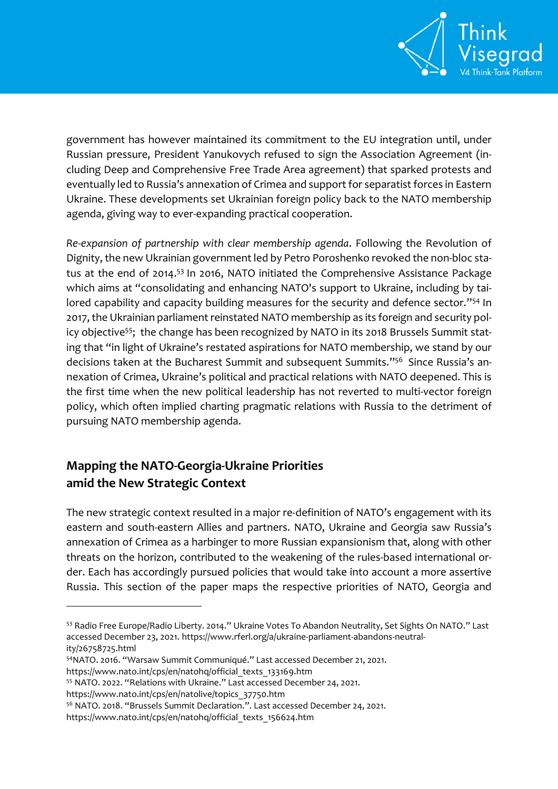

government has however maintained its commitment to the EU integration until, under Russian pressure, President Yanukovych refused to sign the Association Agreement (including Deep and Comprehensive Free Trade Area agreement) that sparked protests and eventually led to Russia's annexation of Crimea and support for separatist forces in Eastern Ukraine. These developments set Ukrainian foreign policy back to the NATO membership agenda, giving way to ever-expanding practical cooperation.

*Re-expansion of partnership with clear membership agenda*. Following the Revolution of Dignity, the new Ukrainian government led by Petro Poroshenko revoked the non-bloc status at the end of 2014.<sup>53</sup> In 2016, NATO initiated the Comprehensive Assistance Package which aims at "consolidating and enhancing NATO's support to Ukraine, including by tailored capability and capacity building measures for the security and defence sector." <sup>54</sup> In 2017, the Ukrainian parliament reinstated NATO membership as its foreign and security policy objective<sup>55</sup>; the change has been recognized by NATO in its 2018 Brussels Summit stating that "in light of Ukraine's restated aspirations for NATO membership, we stand by our decisions taken at the Bucharest Summit and subsequent Summits." 56 Since Russia's annexation of Crimea, Ukraine's political and practical relations with NATO deepened. This is the first time when the new political leadership has not reverted to multi-vector foreign policy, which often implied charting pragmatic relations with Russia to the detriment of pursuing NATO membership agenda.

# **Mapping the NATO-Georgia-Ukraine Priorities amid the New Strategic Context**

The new strategic context resulted in a major re-definition of NATO's engagement with its eastern and south-eastern Allies and partners. NATO, Ukraine and Georgia saw Russia's annexation of Crimea as a harbinger to more Russian expansionism that, along with other threats on the horizon, contributed to the weakening of the rules-based international order. Each has accordingly pursued policies that would take into account a more assertive Russia. This section of the paper maps the respective priorities of NATO, Georgia and

<sup>54</sup>NATO. 2016. "Warsaw Summit Communiqué." Last accessed December 21, 2021.

<sup>53</sup> Radio Free Europe/Radio Liberty. 2014." Ukraine Votes To Abandon Neutrality, Set Sights On NATO." Last accessed December 23, 2021. [https://www.rferl.org/a/ukraine-parliament-abandons-neutral](https://www.rferl.org/a/ukraine-parliament-abandons-neutrality/26758725.html)[ity/26758725.html](https://www.rferl.org/a/ukraine-parliament-abandons-neutrality/26758725.html)

[https://www.nato.int/cps/en/natohq/official\\_texts\\_133169.htm](https://www.nato.int/cps/en/natohq/official_texts_133169.htm)

<sup>55</sup> NATO. 2022. "Relations with Ukraine." Last accessed December 24, 2021.

https://www.nato.int/cps/en/natolive/topics\_37750.htm

<sup>56</sup> NATO. 2018. "Brussels Summit Declaration.". Last accessed December 24, 2021.

https://www.nato.int/cps/en/natohq/official\_texts\_156624.htm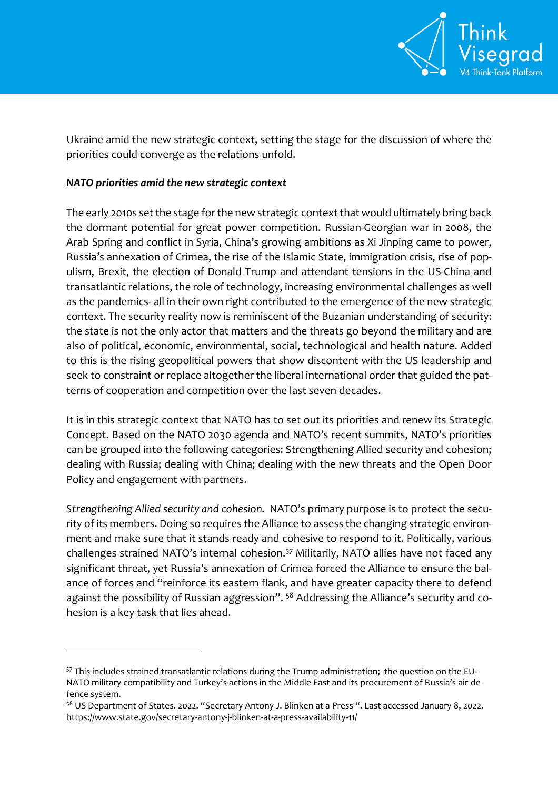

Ukraine amid the new strategic context, setting the stage for the discussion of where the priorities could converge as the relations unfold.

### *NATO priorities amid the new strategic context*

 $\overline{a}$ 

The early 2010s set the stage for the new strategic context that would ultimately bring back the dormant potential for great power competition. Russian-Georgian war in 2008, the Arab Spring and conflict in Syria, China's growing ambitions as Xi Jinping came to power, Russia's annexation of Crimea, the rise of the Islamic State, immigration crisis, rise of populism, Brexit, the election of Donald Trump and attendant tensions in the US-China and transatlantic relations, the role of technology, increasing environmental challenges as well as the pandemics- all in their own right contributed to the emergence of the new strategic context. The security reality now is reminiscent of the Buzanian understanding of security: the state is not the only actor that matters and the threats go beyond the military and are also of political, economic, environmental, social, technological and health nature. Added to this is the rising geopolitical powers that show discontent with the US leadership and seek to constraint or replace altogether the liberal international order that guided the patterns of cooperation and competition over the last seven decades.

It is in this strategic context that NATO has to set out its priorities and renew its Strategic Concept. Based on the NATO 2030 agenda and NATO's recent summits, NATO's priorities can be grouped into the following categories: Strengthening Allied security and cohesion; dealing with Russia; dealing with China; dealing with the new threats and the Open Door Policy and engagement with partners.

*Strengthening Allied security and cohesion.* NATO's primary purpose is to protect the security of its members. Doing so requires the Alliance to assess the changing strategic environment and make sure that it stands ready and cohesive to respond to it. Politically, various challenges strained NATO's internal cohesion.<sup>57</sup> Militarily, NATO allies have not faced any significant threat, yet Russia's annexation of Crimea forced the Alliance to ensure the balance of forces and "reinforce its eastern flank, and have greater capacity there to defend against the possibility of Russian aggression". <sup>58</sup> Addressing the Alliance's security and cohesion is a key task that lies ahead.

<sup>57</sup> This includes strained transatlantic relations during the Trump administration; the question on the EU-NATO military compatibility and Turkey's actions in the Middle East and its procurement of Russia's air defence system.

<sup>&</sup>lt;sup>58</sup> US Department of States. 2022. "Secretary Antony J. Blinken at a Press ". Last accessed January 8, 2022. <https://www.state.gov/secretary-antony-j-blinken-at-a-press-availability-11/>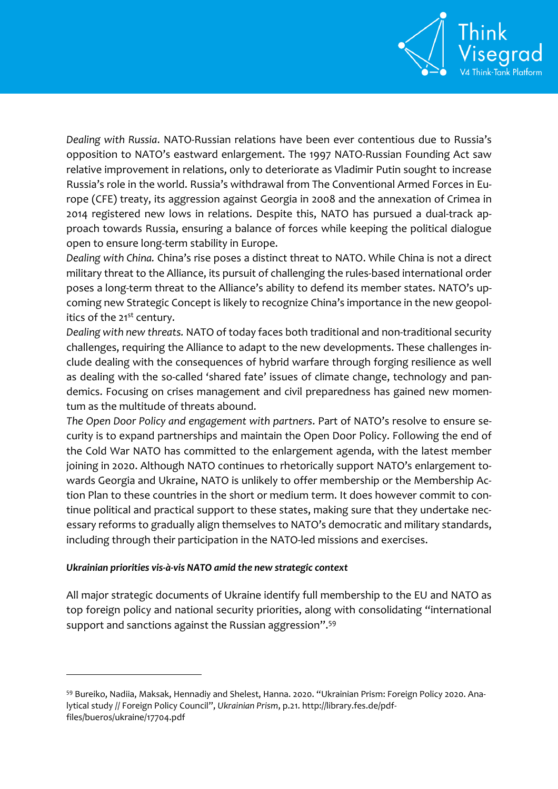

*Dealing with Russia*. NATO-Russian relations have been ever contentious due to Russia's opposition to NATO's eastward enlargement. The 1997 NATO-Russian Founding Act saw relative improvement in relations, only to deteriorate as Vladimir Putin sought to increase Russia's role in the world. Russia's withdrawal from The Conventional Armed Forces in Europe (CFE) treaty, its aggression against Georgia in 2008 and the annexation of Crimea in 2014 registered new lows in relations. Despite this, NATO has pursued a dual-track approach towards Russia, ensuring a balance of forces while keeping the political dialogue open to ensure long-term stability in Europe.

*Dealing with China.* China's rise poses a distinct threat to NATO. While China is not a direct military threat to the Alliance, its pursuit of challenging the rules-based international order poses a long-term threat to the Alliance's ability to defend its member states. NATO's upcoming new Strategic Concept is likely to recognize China's importance in the new geopolitics of the 21<sup>st</sup> century.

*Dealing with new threats.* NATO of today faces both traditional and non-traditional security challenges, requiring the Alliance to adapt to the new developments. These challenges include dealing with the consequences of hybrid warfare through forging resilience as well as dealing with the so-called 'shared fate' issues of climate change, technology and pandemics. Focusing on crises management and civil preparedness has gained new momentum as the multitude of threats abound.

*The Open Door Policy and engagement with partners*. Part of NATO's resolve to ensure security is to expand partnerships and maintain the Open Door Policy. Following the end of the Cold War NATO has committed to the enlargement agenda, with the latest member joining in 2020. Although NATO continues to rhetorically support NATO's enlargement towards Georgia and Ukraine, NATO is unlikely to offer membership or the Membership Action Plan to these countries in the short or medium term. It does however commit to continue political and practical support to these states, making sure that they undertake necessary reforms to gradually align themselves to NATO's democratic and military standards, including through their participation in the NATO-led missions and exercises.

#### *Ukrainian priorities vis-à-vis NATO amid the new strategic context*

 $\overline{a}$ 

All major strategic documents of Ukraine identify full membership to the EU and NATO as top foreign policy and national security priorities, along with consolidating "international support and sanctions against the Russian aggression".<sup>59</sup>

<sup>59</sup> Bureiko, Nadiia, Maksak, Hennadiy and Shelest, Hanna. 2020. "Ukrainian Prism: Foreign Policy 2020. Analytical study // Foreign Policy Council", *Ukrainian Prism*, p.21[. http://library.fes.de/pdf](http://library.fes.de/pdf-files/bueros/ukraine/17704.pdf)[files/bueros/ukraine/17704.pdf](http://library.fes.de/pdf-files/bueros/ukraine/17704.pdf)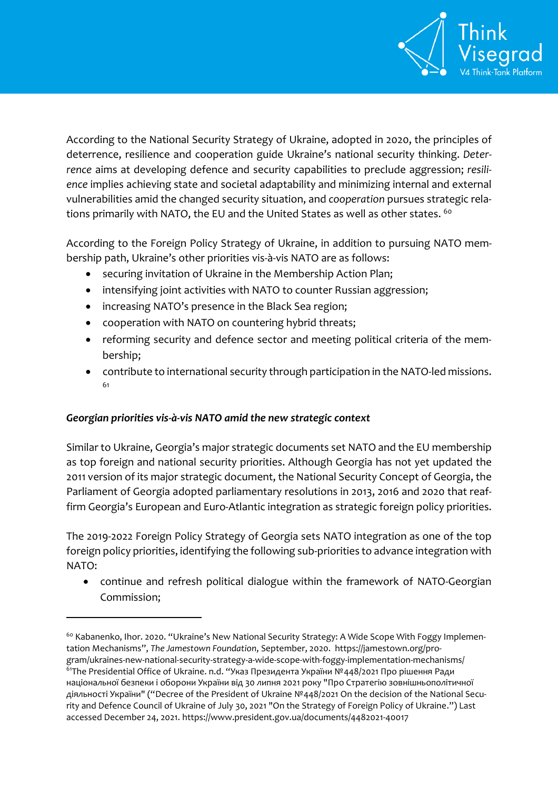

According to the National Security Strategy of Ukraine, adopted in 2020, the principles of deterrence, resilience and cooperation guide Ukraine's national security thinking. *Deterrence* aims at developing defence and security capabilities to preclude aggression; *resilience* implies achieving state and societal adaptability and minimizing internal and external vulnerabilities amid the changed security situation, and *cooperation* pursues strategic relations primarily with NATO, the EU and the United States as well as other states. <sup>60</sup>

According to the Foreign Policy Strategy of Ukraine, in addition to pursuing NATO membership path, Ukraine's other priorities vis-à-vis NATO are as follows:

- securing invitation of Ukraine in the Membership Action Plan;
- intensifying joint activities with NATO to counter Russian aggression;
- increasing NATO's presence in the Black Sea region;
- cooperation with NATO on countering hybrid threats;
- reforming security and defence sector and meeting political criteria of the membership;
- contribute to international security through participation in the NATO-led missions. 61

## *Georgian priorities vis-à-vis NATO amid the new strategic context*

 $\overline{a}$ 

Similar to Ukraine, Georgia's major strategic documents set NATO and the EU membership as top foreign and national security priorities. Although Georgia has not yet updated the 2011 version of its major strategic document, the National Security Concept of Georgia, the Parliament of Georgia adopted parliamentary resolutions in 2013, 2016 and 2020 that reaffirm Georgia's European and Euro-Atlantic integration as strategic foreign policy priorities.

The 2019-2022 Foreign Policy Strategy of Georgia sets NATO integration as one of the top foreign policy priorities, identifying the following sub-priorities to advance integration with NATO:

 continue and refresh political dialogue within the framework of NATO-Georgian Commission;

<sup>&</sup>lt;sup>60</sup> Kabanenko, Ihor. 2020. "Ukraine's New National Security Strategy: A Wide Scope With Foggy Implementation Mechanisms", *The Jamestown Foundation*, September, 2020. [https://jamestown.org/pro](https://jamestown.org/program/ukraines-new-national-security-strategy-a-wide-scope-with-foggy-implementation-mechanisms/)[gram/ukraines-new-national-security-strategy-a-wide-scope-with-foggy-implementation-mechanisms/](https://jamestown.org/program/ukraines-new-national-security-strategy-a-wide-scope-with-foggy-implementation-mechanisms/) <sup>61</sup>The Presidential Office of Ukraine. n.d. "Указ Президента України №448/2021 Про рішення Ради національної безпеки і оборони України від 30 липня 2021 року "Про Стратегію зовнішньополітичної діяльності України" ("Decree of the President of Ukraine №448/2021 On the decision of the National Security and Defence Council of Ukraine of July 30, 2021 "On the Strategy of Foreign Policy of Ukraine.") Last accessed December 24, 2021[. https://www.president.gov.ua/documents/4482021-40017](https://www.president.gov.ua/documents/4482021-40017)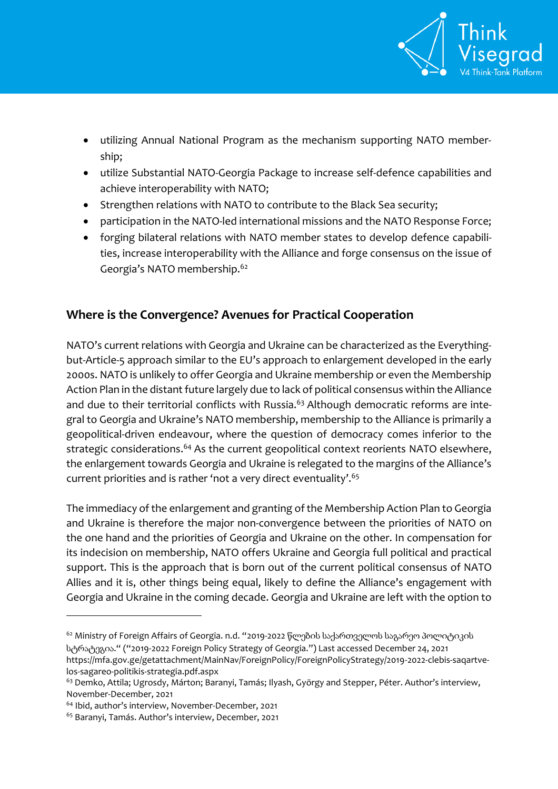

- utilizing Annual National Program as the mechanism supporting NATO membership;
- utilize Substantial NATO-Georgia Package to increase self-defence capabilities and achieve interoperability with NATO;
- Strengthen relations with NATO to contribute to the Black Sea security;
- participation in the NATO-led international missions and the NATO Response Force;
- forging bilateral relations with NATO member states to develop defence capabilities, increase interoperability with the Alliance and forge consensus on the issue of Georgia's NATO membership.<sup>62</sup>

# **Where is the Convergence? Avenues for Practical Cooperation**

NATO's current relations with Georgia and Ukraine can be characterized as the Everythingbut-Article-5 approach similar to the EU's approach to enlargement developed in the early 2000s. NATO is unlikely to offer Georgia and Ukraine membership or even the Membership Action Plan in the distant future largely due to lack of political consensus within the Alliance and due to their territorial conflicts with Russia.<sup>63</sup> Although democratic reforms are integral to Georgia and Ukraine's NATO membership, membership to the Alliance is primarily a geopolitical-driven endeavour, where the question of democracy comes inferior to the strategic considerations.<sup>64</sup> As the current geopolitical context reorients NATO elsewhere, the enlargement towards Georgia and Ukraine is relegated to the margins of the Alliance's current priorities and is rather 'not a very direct eventuality'.<sup>65</sup>

The immediacy of the enlargement and granting of the Membership Action Plan to Georgia and Ukraine is therefore the major non-convergence between the priorities of NATO on the one hand and the priorities of Georgia and Ukraine on the other. In compensation for its indecision on membership, NATO offers Ukraine and Georgia full political and practical support. This is the approach that is born out of the current political consensus of NATO Allies and it is, other things being equal, likely to define the Alliance's engagement with Georgia and Ukraine in the coming decade. Georgia and Ukraine are left with the option to

 $\overline{a}$ 

<sup>62</sup> Ministry of Foreign Affairs of Georgia. n.d. "2019-2022 წლების საქართველოს საგარეო პოლიტიკის სტრატეგია." ("2019-2022 Foreign Policy Strategy of Georgia.") Last accessed December 24, 2021 [https://mfa.gov.ge/getattachment/MainNav/ForeignPolicy/ForeignPolicyStrategy/2019-2022-clebis-saqartve](https://mfa.gov.ge/getattachment/MainNav/ForeignPolicy/ForeignPolicyStrategy/2019-2022-clebis-saqartvelos-sagareo-politikis-strategia.pdf.aspx)[los-sagareo-politikis-strategia.pdf.aspx](https://mfa.gov.ge/getattachment/MainNav/ForeignPolicy/ForeignPolicyStrategy/2019-2022-clebis-saqartvelos-sagareo-politikis-strategia.pdf.aspx)

<sup>&</sup>lt;sup>63</sup> Demko, Attila; Ugrosdy, Márton; Baranyi, Tamás; Ilyash, György and Stepper, Péter. Author's interview, November-December, 2021

<sup>64</sup> Ibid, author's interview, November-December, 2021

<sup>65</sup> Baranyi, Tamás. Author's interview, December, 2021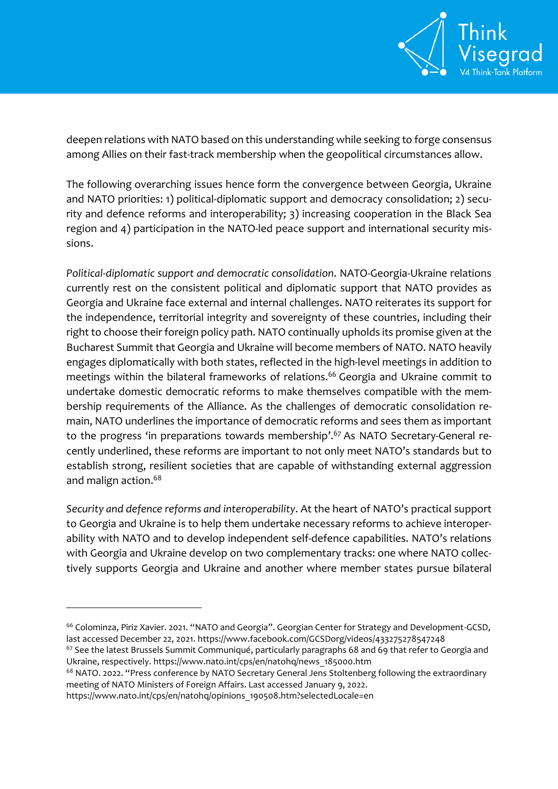

deepen relations with NATO based on this understanding while seeking to forge consensus among Allies on their fast-track membership when the geopolitical circumstances allow.

The following overarching issues hence form the convergence between Georgia, Ukraine and NATO priorities: 1) political-diplomatic support and democracy consolidation; 2) security and defence reforms and interoperability; 3) increasing cooperation in the Black Sea region and 4) participation in the NATO-led peace support and international security missions.

*Political-diplomatic support and democratic consolidation*. NATO-Georgia-Ukraine relations currently rest on the consistent political and diplomatic support that NATO provides as Georgia and Ukraine face external and internal challenges. NATO reiterates its support for the independence, territorial integrity and sovereignty of these countries, including their right to choose their foreign policy path. NATO continually upholds its promise given at the Bucharest Summit that Georgia and Ukraine will become members of NATO. NATO heavily engages diplomatically with both states, reflected in the high-level meetings in addition to meetings within the bilateral frameworks of relations.<sup>66</sup> Georgia and Ukraine commit to undertake domestic democratic reforms to make themselves compatible with the membership requirements of the Alliance. As the challenges of democratic consolidation remain, NATO underlines the importance of democratic reforms and sees them as important to the progress 'in preparations towards membership'.<sup>67</sup> As NATO Secretary-General recently underlined, these reforms are important to not only meet NATO's standards but to establish strong, resilient societies that are capable of withstanding external aggression and malign action.<sup>68</sup>

*Security and defence reforms and interoperability*. At the heart of NATO's practical support to Georgia and Ukraine is to help them undertake necessary reforms to achieve interoperability with NATO and to develop independent self-defence capabilities. NATO's relations with Georgia and Ukraine develop on two complementary tracks: one where NATO collectively supports Georgia and Ukraine and another where member states pursue bilateral

[https://www.nato.int/cps/en/natohq/opinions\\_190508.htm?selectedLocale=en](https://www.nato.int/cps/en/natohq/opinions_190508.htm?selectedLocale=en)

<sup>&</sup>lt;sup>66</sup> Colominza, Piriz Xavier. 2021. "NATO and Georgia". Georgian Center for Strategy and Development-GCSD, last accessed December 22, 2021.<https://www.facebook.com/GCSDorg/videos/433275278547248>

<sup>&</sup>lt;sup>67</sup> See the latest Brussels Summit Communiqué, particularly paragraphs 68 and 69 that refer to Georgia and Ukraine, respectively. [https://www.nato.int/cps/en/natohq/news\\_185000.htm](https://www.nato.int/cps/en/natohq/news_185000.htm)

<sup>&</sup>lt;sup>68</sup> NATO. 2022. "Press conference by NATO Secretary General Jens Stoltenberg following the extraordinary meeting of NATO Ministers of Foreign Affairs. Last accessed January 9, 2022.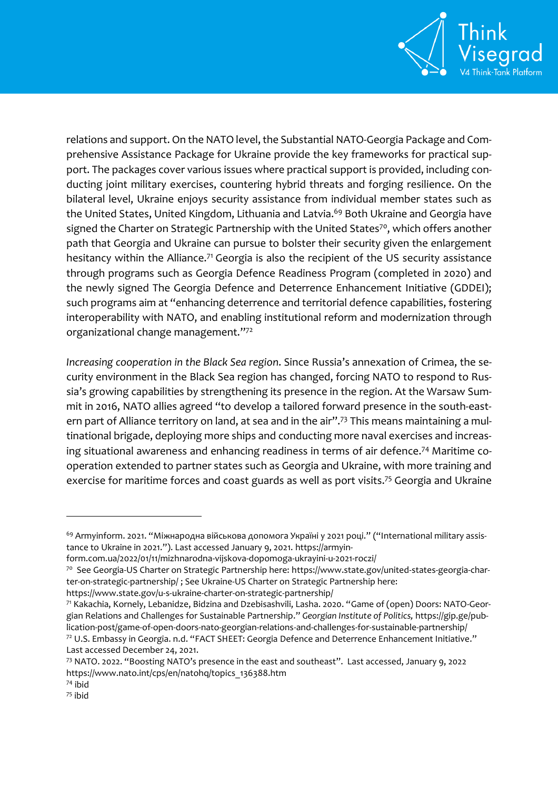

relations and support. On the NATO level, the Substantial NATO-Georgia Package and Comprehensive Assistance Package for Ukraine provide the key frameworks for practical support. The packages cover various issues where practical support is provided, including conducting joint military exercises, countering hybrid threats and forging resilience. On the bilateral level, Ukraine enjoys security assistance from individual member states such as the United States, United Kingdom, Lithuania and Latvia.<sup>69</sup> Both Ukraine and Georgia have signed the Charter on Strategic Partnership with the United States<sup>70</sup>, which offers another path that Georgia and Ukraine can pursue to bolster their security given the enlargement hesitancy within the Alliance.<sup>71</sup> Georgia is also the recipient of the US security assistance through programs such as Georgia Defence Readiness Program (completed in 2020) and the newly signed The Georgia Defence and Deterrence Enhancement Initiative (GDDEI); such programs aim at "enhancing deterrence and territorial defence capabilities, fostering interoperability with NATO, and enabling institutional reform and modernization through organizational change management." 72

*Increasing cooperation in the Black Sea region*. Since Russia's annexation of Crimea, the security environment in the Black Sea region has changed, forcing NATO to respond to Russia's growing capabilities by strengthening its presence in the region. At the Warsaw Summit in 2016, NATO allies agreed "to develop a tailored forward presence in the south-eastern part of Alliance territory on land, at sea and in the air".<sup>73</sup> This means maintaining a multinational brigade, deploying more ships and conducting more naval exercises and increasing situational awareness and enhancing readiness in terms of air defence. <sup>74</sup> Maritime cooperation extended to partner states such as Georgia and Ukraine, with more training and exercise for maritime forces and coast guards as well as port visits.<sup>75</sup> Georgia and Ukraine

<sup>&</sup>lt;sup>69</sup> Armyinform. 2021. "Міжнародна військова допомога Україні у 2021 році." ("International military assistance to Ukraine in 2021."). Last accessed January 9, 2021. [https://armyin-](https://armyinform.com.ua/2022/01/11/mizhnarodna-vijskova-dopomoga-ukrayini-u-2021-roczi/)

[form.com.ua/2022/01/11/mizhnarodna-vijskova-dopomoga-ukrayini-u-2021-roczi/](https://armyinform.com.ua/2022/01/11/mizhnarodna-vijskova-dopomoga-ukrayini-u-2021-roczi/)

<sup>70</sup> See Georgia-US Charter on Strategic Partnership here: [https://www.state.gov/united-states-georgia-char](https://www.state.gov/united-states-georgia-charter-on-strategic-partnership/)[ter-on-strategic-partnership/](https://www.state.gov/united-states-georgia-charter-on-strategic-partnership/) ; See Ukraine-US Charter on Strategic Partnership here:

<https://www.state.gov/u-s-ukraine-charter-on-strategic-partnership/>

<sup>71</sup> Kakachia, Kornely, Lebanidze, Bidzina and Dzebisashvili, Lasha. 2020. "Game of (open) Doors: NATO-Georgian Relations and Challenges for Sustainable Partnership." *Georgian Institute of Politics,* [https://gip.ge/pub](https://gip.ge/publication-post/game-of-open-doors-nato-georgian-relations-and-challenges-for-sustainable-partnership/)[lication-post/game-of-open-doors-nato-georgian-relations-and-challenges-for-sustainable-partnership/](https://gip.ge/publication-post/game-of-open-doors-nato-georgian-relations-and-challenges-for-sustainable-partnership/) <sup>72</sup> U.S. Embassy in Georgia. n.d. "FACT SHEET: Georgia Defence and Deterrence Enhancement Initiative." Last accessed December 24, 2021.

<sup>73</sup> NATO. 2022. "Boosting NATO's presence in the east and southeast". Last accessed, January 9, 2022 [https://www.nato.int/cps/en/natohq/topics\\_136388.htm](https://www.nato.int/cps/en/natohq/topics_136388.htm)

<sup>74</sup> ibid

<sup>75</sup> ibid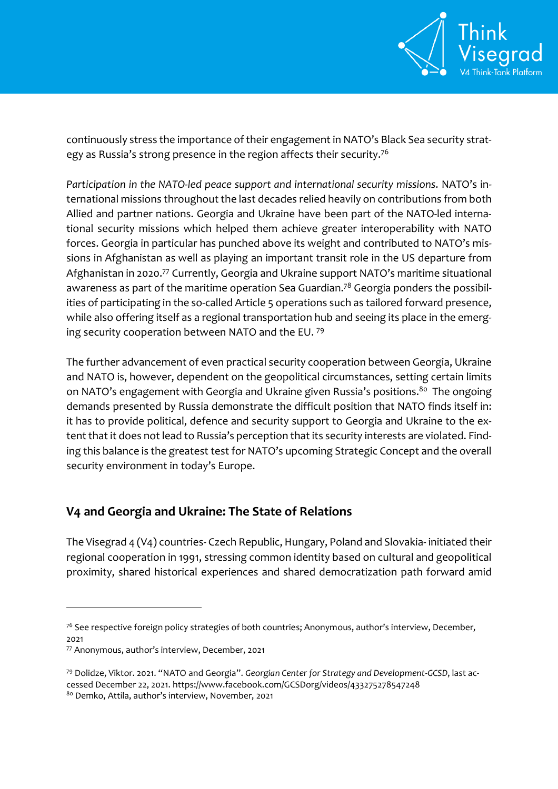

continuously stress the importance of their engagement in NATO's Black Sea security strategy as Russia's strong presence in the region affects their security.<sup>76</sup>

*Participation in the NATO-led peace support and international security missions*. NATO's international missions throughout the last decades relied heavily on contributions from both Allied and partner nations. Georgia and Ukraine have been part of the NATO-led international security missions which helped them achieve greater interoperability with NATO forces. Georgia in particular has punched above its weight and contributed to NATO's missions in Afghanistan as well as playing an important transit role in the US departure from Afghanistan in 2020.<sup>77</sup> Currently, Georgia and Ukraine support NATO's maritime situational awareness as part of the maritime operation Sea Guardian.<sup>78</sup> Georgia ponders the possibilities of participating in the so-called Article 5 operations such as tailored forward presence, while also offering itself as a regional transportation hub and seeing its place in the emerging security cooperation between NATO and the EU. <sup>79</sup>

The further advancement of even practical security cooperation between Georgia, Ukraine and NATO is, however, dependent on the geopolitical circumstances, setting certain limits on NATO's engagement with Georgia and Ukraine given Russia's positions.<sup>80</sup> The ongoing demands presented by Russia demonstrate the difficult position that NATO finds itself in: it has to provide political, defence and security support to Georgia and Ukraine to the extent that it does not lead to Russia's perception that its security interests are violated. Finding this balance is the greatest test for NATO's upcoming Strategic Concept and the overall security environment in today's Europe.

# **V4 and Georgia and Ukraine: The State of Relations**

The Visegrad 4 (V4) countries- Czech Republic, Hungary, Poland and Slovakia- initiated their regional cooperation in 1991, stressing common identity based on cultural and geopolitical proximity, shared historical experiences and shared democratization path forward amid

 $76$  See respective foreign policy strategies of both countries; Anonymous, author's interview, December, 2021

<sup>77</sup> Anonymous, author's interview, December, 2021

<sup>79</sup> Dolidze, Viktor. 2021. "NATO and Georgia". *Georgian Center for Strategy and Development-GCSD*, last accessed December 22, 2021.<https://www.facebook.com/GCSDorg/videos/433275278547248>

<sup>80</sup> Demko, Attila, author's interview, November, 2021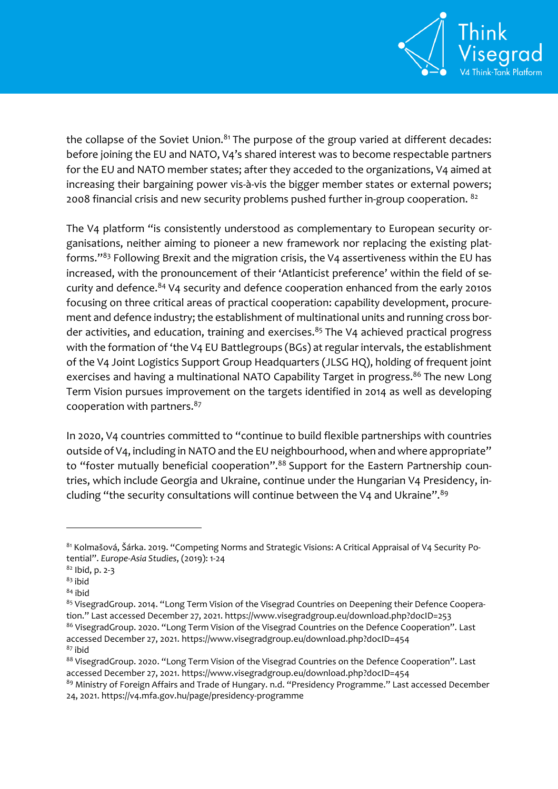

the collapse of the Soviet Union. $81$  The purpose of the group varied at different decades: before joining the EU and NATO, V4's shared interest was to become respectable partners for the EU and NATO member states; after they acceded to the organizations, V4 aimed at increasing their bargaining power vis-à-vis the bigger member states or external powers; 2008 financial crisis and new security problems pushed further in-group cooperation.  $^{82}$ 

The V4 platform "is consistently understood as complementary to European security organisations, neither aiming to pioneer a new framework nor replacing the existing platforms."<sup>83</sup> Following Brexit and the migration crisis, the V4 assertiveness within the EU has increased, with the pronouncement of their 'Atlanticist preference' within the field of security and defence. <sup>84</sup> V4 security and defence cooperation enhanced from the early 2010s focusing on three critical areas of practical cooperation: capability development, procurement and defence industry; the establishment of multinational units and running cross border activities, and education, training and exercises.<sup>85</sup> The V4 achieved practical progress with the formation of 'the V4 EU Battlegroups (BGs) at regular intervals, the establishment of the V4 Joint Logistics Support Group Headquarters (JLSG HQ), holding of frequent joint exercises and having a multinational NATO Capability Target in progress.<sup>86</sup> The new Long Term Vision pursues improvement on the targets identified in 2014 as well as developing cooperation with partners.<sup>87</sup>

In 2020, V4 countries committed to "continue to build flexible partnerships with countries outside of V4, including in NATO and the EU neighbourhood, when and where appropriate" to "foster mutually beneficial cooperation".<sup>88</sup> Support for the Eastern Partnership countries, which include Georgia and Ukraine, continue under the Hungarian V4 Presidency, including "the security consultations will continue between the V4 and Ukraine".<sup>89</sup>

<sup>81</sup> Kolmašová, Šárka. 2019. "Competing Norms and Strategic Visions: A Critical Appraisal of V4 Security Potential". *Europe-Asia Studies*, (2019): 1-24

<sup>82</sup> Ibid, p. 2-3

 $83$  ibid

<sup>84</sup> ibid

<sup>85</sup> VisegradGroup. 2014. "Long Term Vision of the Visegrad Countries on Deepening their Defence Cooperation." Last accessed December 27, 2021. https://www.visegradgroup.eu/download.php?docID=253 86 VisegradGroup. 2020. "Long Term Vision of the Visegrad Countries on the Defence Cooperation". Last accessed December 27, 2021. https://www.visegradgroup.eu/download.php?docID=454

 $87$  ibid

<sup>88</sup> VisegradGroup. 2020. "Long Term Vision of the Visegrad Countries on the Defence Cooperation". Last accessed December 27, 2021. https://www.visegradgroup.eu/download.php?docID=454

<sup>89</sup> Ministry of Foreign Affairs and Trade of Hungary. n.d. "Presidency Programme." Last accessed December 24, 2021[. https://v4.mfa.gov.hu/page/presidency-programme](https://v4.mfa.gov.hu/page/presidency-programme)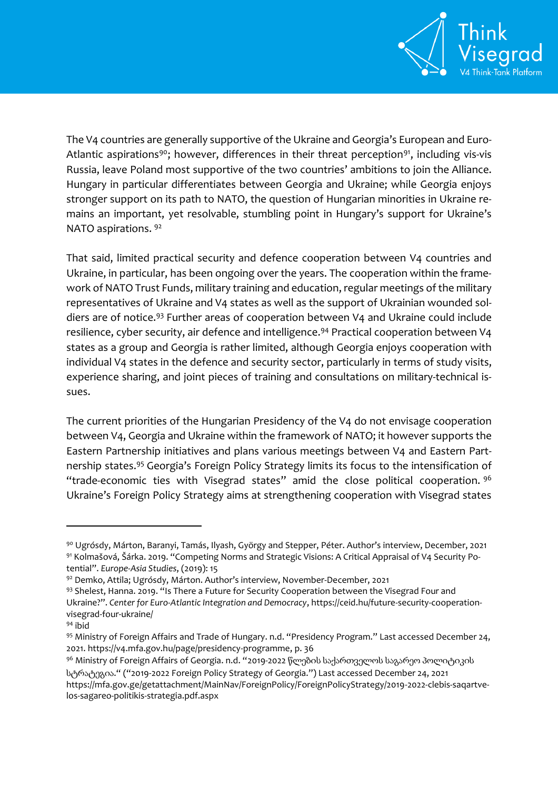

The V4 countries are generally supportive of the Ukraine and Georgia's European and Euro-Atlantic aspirations<sup>90</sup>; however, differences in their threat perception<sup>91</sup>, including vis-vis Russia, leave Poland most supportive of the two countries' ambitions to join the Alliance. Hungary in particular differentiates between Georgia and Ukraine; while Georgia enjoys stronger support on its path to NATO, the question of Hungarian minorities in Ukraine remains an important, yet resolvable, stumbling point in Hungary's support for Ukraine's NATO aspirations. <sup>92</sup>

That said, limited practical security and defence cooperation between V4 countries and Ukraine, in particular, has been ongoing over the years. The cooperation within the framework of NATO Trust Funds, military training and education, regular meetings of the military representatives of Ukraine and V4 states as well as the support of Ukrainian wounded soldiers are of notice.<sup>93</sup> Further areas of cooperation between V4 and Ukraine could include resilience, cyber security, air defence and intelligence.<sup>94</sup> Practical cooperation between V4 states as a group and Georgia is rather limited, although Georgia enjoys cooperation with individual V4 states in the defence and security sector, particularly in terms of study visits, experience sharing, and joint pieces of training and consultations on military-technical issues.

The current priorities of the Hungarian Presidency of the V4 do not envisage cooperation between V4, Georgia and Ukraine within the framework of NATO; it however supports the Eastern Partnership initiatives and plans various meetings between V4 and Eastern Partnership states.<sup>95</sup> Georgia's Foreign Policy Strategy limits its focus to the intensification of "trade-economic ties with Visegrad states" amid the close political cooperation.  $96$ Ukraine's Foreign Policy Strategy aims at strengthening cooperation with Visegrad states

<sup>90</sup> Ugrósdy, Márton, Baranyi, Tamás, Ilyash, György and Stepper, Péter. Author's interview, December, 2021 <sup>91</sup> Kolmašová, Šárka. 2019. "Competing Norms and Strategic Visions: A Critical Appraisal of V4 Security Potential". *Europe-Asia Studies*, (2019): 15

<sup>92</sup> Demko, Attila; Ugrósdy, Márton. Author's interview, November-December, 2021

<sup>93</sup> Shelest, Hanna. 2019. "Is There a Future for Security Cooperation between the Visegrad Four and Ukraine?". *Center for Euro-Atlantic Integration and Democracy*, [https://ceid.hu/future-security-cooperation](https://ceid.hu/future-security-cooperation-visegrad-four-ukraine/)[visegrad-four-ukraine/](https://ceid.hu/future-security-cooperation-visegrad-four-ukraine/)

<sup>94</sup> ibid

<sup>95</sup> Ministry of Foreign Affairs and Trade of Hungary. n.d. "Presidency Program." Last accessed December 24, 2021. [https://v4.mfa.gov.hu/page/presidency-programme,](https://v4.mfa.gov.hu/page/presidency-programme) p. 36

<sup>&</sup>lt;sup>96</sup> Ministry of Foreign Affairs of Georgia. n.d. "2019-2022 წლების საქართველოს საგარეო პოლიტიკის სტრატეგია." ("2019-2022 Foreign Policy Strategy of Georgia.") Last accessed December 24, 2021 [https://mfa.gov.ge/getattachment/MainNav/ForeignPolicy/ForeignPolicyStrategy/2019-2022-clebis-saqartve](https://mfa.gov.ge/getattachment/MainNav/ForeignPolicy/ForeignPolicyStrategy/2019-2022-clebis-saqartvelos-sagareo-politikis-strategia.pdf.aspx)[los-sagareo-politikis-strategia.pdf.aspx](https://mfa.gov.ge/getattachment/MainNav/ForeignPolicy/ForeignPolicyStrategy/2019-2022-clebis-saqartvelos-sagareo-politikis-strategia.pdf.aspx)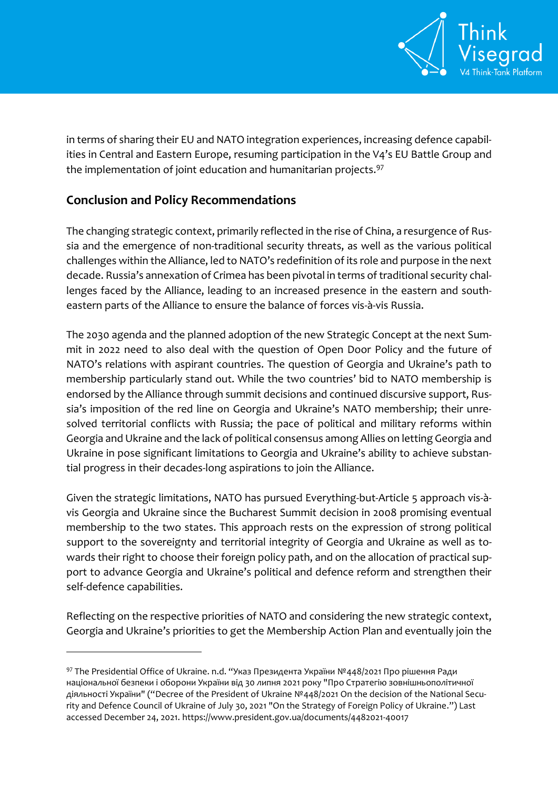

in terms of sharing their EU and NATO integration experiences, increasing defence capabilities in Central and Eastern Europe, resuming participation in the V4's EU Battle Group and the implementation of joint education and humanitarian projects.<sup>97</sup>

## **Conclusion and Policy Recommendations**

 $\overline{a}$ 

The changing strategic context, primarily reflected in the rise of China, a resurgence of Russia and the emergence of non-traditional security threats, as well as the various political challenges within the Alliance, led to NATO's redefinition of its role and purpose in the next decade. Russia's annexation of Crimea has been pivotal in terms of traditional security challenges faced by the Alliance, leading to an increased presence in the eastern and southeastern parts of the Alliance to ensure the balance of forces vis-à-vis Russia.

The 2030 agenda and the planned adoption of the new Strategic Concept at the next Summit in 2022 need to also deal with the question of Open Door Policy and the future of NATO's relations with aspirant countries. The question of Georgia and Ukraine's path to membership particularly stand out. While the two countries' bid to NATO membership is endorsed by the Alliance through summit decisions and continued discursive support, Russia's imposition of the red line on Georgia and Ukraine's NATO membership; their unresolved territorial conflicts with Russia; the pace of political and military reforms within Georgia and Ukraine and the lack of political consensus among Allies on letting Georgia and Ukraine in pose significant limitations to Georgia and Ukraine's ability to achieve substantial progress in their decades-long aspirations to join the Alliance.

Given the strategic limitations, NATO has pursued Everything-but-Article 5 approach vis-àvis Georgia and Ukraine since the Bucharest Summit decision in 2008 promising eventual membership to the two states. This approach rests on the expression of strong political support to the sovereignty and territorial integrity of Georgia and Ukraine as well as towards their right to choose their foreign policy path, and on the allocation of practical support to advance Georgia and Ukraine's political and defence reform and strengthen their self-defence capabilities.

Reflecting on the respective priorities of NATO and considering the new strategic context, Georgia and Ukraine's priorities to get the Membership Action Plan and eventually join the

<sup>97</sup> The Presidential Office of Ukraine. n.d. "Указ Президента України №448/2021 Про рішення Ради національної безпеки і оборони України від 30 липня 2021 року "Про Стратегію зовнішньополітичної діяльності України" ("Decree of the President of Ukraine №448/2021 On the decision of the National Security and Defence Council of Ukraine of July 30, 2021 "On the Strategy of Foreign Policy of Ukraine.") Last accessed December 24, 2021[. https://www.president.gov.ua/documents/4482021-40017](https://www.president.gov.ua/documents/4482021-40017)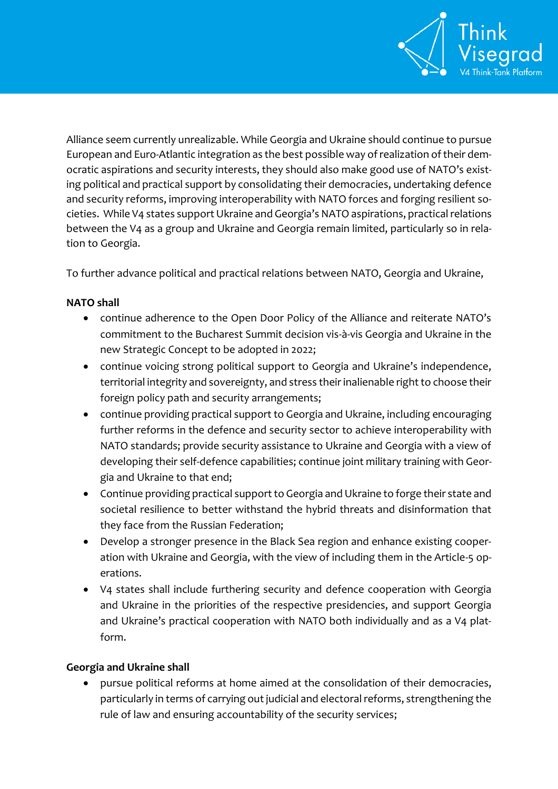

Alliance seem currently unrealizable. While Georgia and Ukraine should continue to pursue European and Euro-Atlantic integration as the best possible way of realization of their democratic aspirations and security interests, they should also make good use of NATO's existing political and practical support by consolidating their democracies, undertaking defence and security reforms, improving interoperability with NATO forces and forging resilient societies. While V4 states support Ukraine and Georgia's NATO aspirations, practical relations between the V4 as a group and Ukraine and Georgia remain limited, particularly so in relation to Georgia.

To further advance political and practical relations between NATO, Georgia and Ukraine,

## **NATO shall**

- continue adherence to the Open Door Policy of the Alliance and reiterate NATO's commitment to the Bucharest Summit decision vis-à-vis Georgia and Ukraine in the new Strategic Concept to be adopted in 2022;
- continue voicing strong political support to Georgia and Ukraine's independence, territorial integrity and sovereignty, and stress their inalienable right to choose their foreign policy path and security arrangements;
- continue providing practical support to Georgia and Ukraine, including encouraging further reforms in the defence and security sector to achieve interoperability with NATO standards; provide security assistance to Ukraine and Georgia with a view of developing their self-defence capabilities; continue joint military training with Georgia and Ukraine to that end;
- Continue providing practical support to Georgia and Ukraine to forge their state and societal resilience to better withstand the hybrid threats and disinformation that they face from the Russian Federation;
- Develop a stronger presence in the Black Sea region and enhance existing cooperation with Ukraine and Georgia, with the view of including them in the Article-5 operations.
- V4 states shall include furthering security and defence cooperation with Georgia and Ukraine in the priorities of the respective presidencies, and support Georgia and Ukraine's practical cooperation with NATO both individually and as a V4 platform.

#### **Georgia and Ukraine shall**

 pursue political reforms at home aimed at the consolidation of their democracies, particularly in terms of carrying out judicial and electoral reforms, strengthening the rule of law and ensuring accountability of the security services;